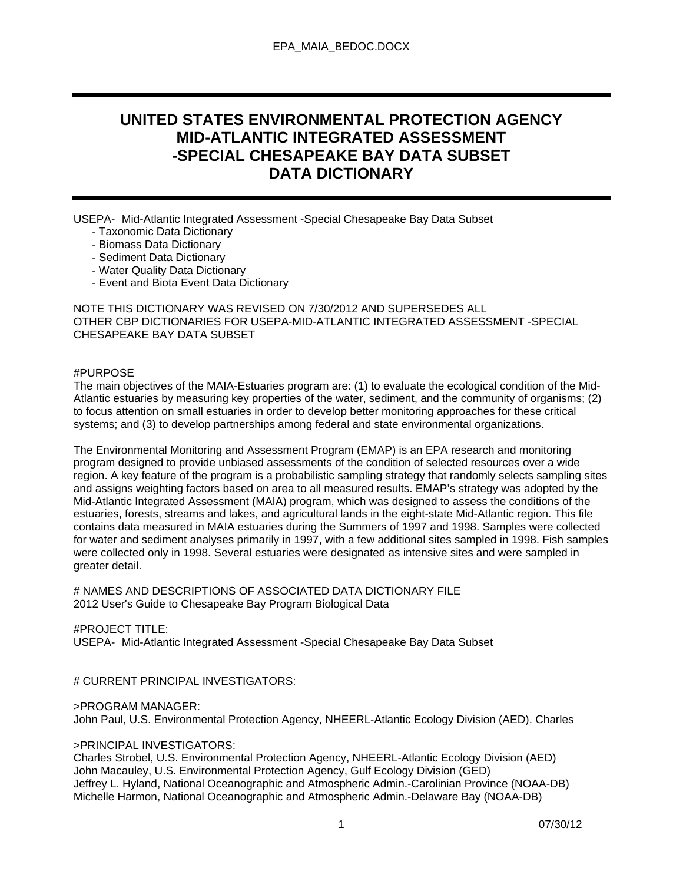# **UNITED STATES ENVIRONMENTAL PROTECTION AGENCY MID-ATLANTIC INTEGRATED ASSESSMENT -SPECIAL CHESAPEAKE BAY DATA SUBSET DATA DICTIONARY**

USEPA- Mid-Atlantic Integrated Assessment -Special Chesapeake Bay Data Subset

- Taxonomic Data Dictionary
- Biomass Data Dictionary
- Sediment Data Dictionary
- Water Quality Data Dictionary
- Event and Biota Event Data Dictionary

NOTE THIS DICTIONARY WAS REVISED ON 7/30/2012 AND SUPERSEDES ALL OTHER CBP DICTIONARIES FOR USEPA-MID-ATLANTIC INTEGRATED ASSESSMENT -SPECIAL CHESAPEAKE BAY DATA SUBSET

#### #PURPOSE

The main objectives of the MAIA-Estuaries program are: (1) to evaluate the ecological condition of the Mid-Atlantic estuaries by measuring key properties of the water, sediment, and the community of organisms; (2) to focus attention on small estuaries in order to develop better monitoring approaches for these critical systems; and (3) to develop partnerships among federal and state environmental organizations.

The Environmental Monitoring and Assessment Program (EMAP) is an EPA research and monitoring program designed to provide unbiased assessments of the condition of selected resources over a wide region. A key feature of the program is a probabilistic sampling strategy that randomly selects sampling sites and assigns weighting factors based on area to all measured results. EMAP's strategy was adopted by the Mid-Atlantic Integrated Assessment (MAIA) program, which was designed to assess the conditions of the estuaries, forests, streams and lakes, and agricultural lands in the eight-state Mid-Atlantic region. This file contains data measured in MAIA estuaries during the Summers of 1997 and 1998. Samples were collected for water and sediment analyses primarily in 1997, with a few additional sites sampled in 1998. Fish samples were collected only in 1998. Several estuaries were designated as intensive sites and were sampled in greater detail.

# NAMES AND DESCRIPTIONS OF ASSOCIATED DATA DICTIONARY FILE 2012 User's Guide to Chesapeake Bay Program Biological Data

### #PROJECT TITLE:

USEPA- Mid-Atlantic Integrated Assessment -Special Chesapeake Bay Data Subset

# CURRENT PRINCIPAL INVESTIGATORS:

#### >PROGRAM MANAGER:

John Paul, U.S. Environmental Protection Agency, NHEERL-Atlantic Ecology Division (AED). Charles

#### >PRINCIPAL INVESTIGATORS:

Charles Strobel, U.S. Environmental Protection Agency, NHEERL-Atlantic Ecology Division (AED) John Macauley, U.S. Environmental Protection Agency, Gulf Ecology Division (GED) Jeffrey L. Hyland, National Oceanographic and Atmospheric Admin.-Carolinian Province (NOAA-DB) Michelle Harmon, National Oceanographic and Atmospheric Admin.-Delaware Bay (NOAA-DB)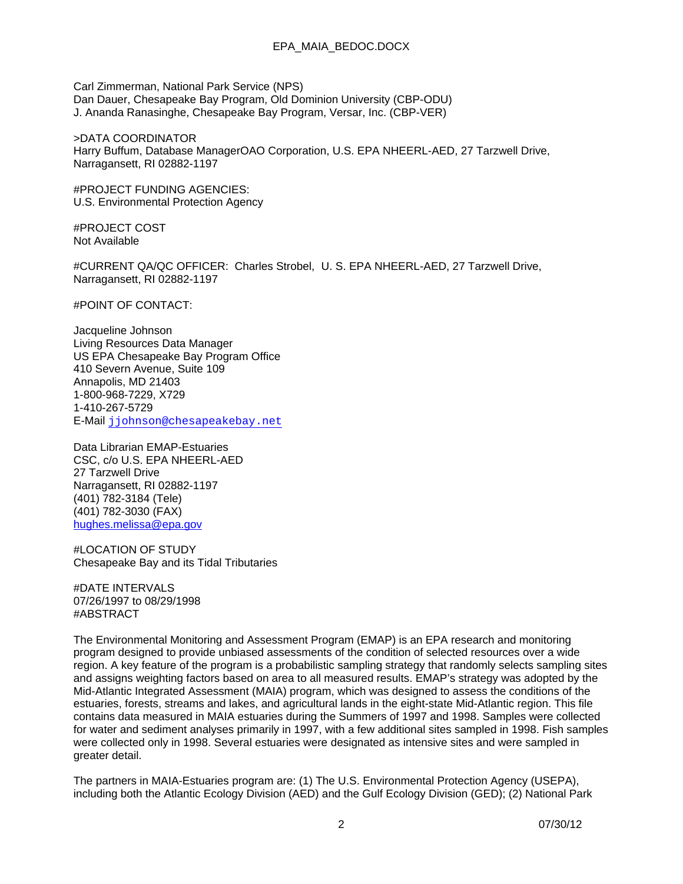Carl Zimmerman, National Park Service (NPS) Dan Dauer, Chesapeake Bay Program, Old Dominion University (CBP-ODU) J. Ananda Ranasinghe, Chesapeake Bay Program, Versar, Inc. (CBP-VER)

>DATA COORDINATOR Harry Buffum, Database ManagerOAO Corporation, U.S. EPA NHEERL-AED, 27 Tarzwell Drive, Narragansett, RI 02882-1197

#PROJECT FUNDING AGENCIES: U.S. Environmental Protection Agency

#PROJECT COST Not Available

#CURRENT QA/QC OFFICER: Charles Strobel, U. S. EPA NHEERL-AED, 27 Tarzwell Drive, Narragansett, RI 02882-1197

#POINT OF CONTACT:

Jacqueline Johnson Living Resources Data Manager US EPA Chesapeake Bay Program Office 410 Severn Avenue, Suite 109 Annapolis, MD 21403 1-800-968-7229, X729 1-410-267-5729 E-Mail jjohnson@chesapeakebay.net

Data Librarian EMAP-Estuaries CSC, c/o U.S. EPA NHEERL-AED 27 Tarzwell Drive Narragansett, RI 02882-1197 (401) 782-3184 (Tele) (401) 782-3030 (FAX) hughes.melissa@epa.gov

#LOCATION OF STUDY Chesapeake Bay and its Tidal Tributaries

#DATE INTERVALS 07/26/1997 to 08/29/1998 #ABSTRACT

The Environmental Monitoring and Assessment Program (EMAP) is an EPA research and monitoring program designed to provide unbiased assessments of the condition of selected resources over a wide region. A key feature of the program is a probabilistic sampling strategy that randomly selects sampling sites and assigns weighting factors based on area to all measured results. EMAP's strategy was adopted by the Mid-Atlantic Integrated Assessment (MAIA) program, which was designed to assess the conditions of the estuaries, forests, streams and lakes, and agricultural lands in the eight-state Mid-Atlantic region. This file contains data measured in MAIA estuaries during the Summers of 1997 and 1998. Samples were collected for water and sediment analyses primarily in 1997, with a few additional sites sampled in 1998. Fish samples were collected only in 1998. Several estuaries were designated as intensive sites and were sampled in greater detail.

The partners in MAIA-Estuaries program are: (1) The U.S. Environmental Protection Agency (USEPA), including both the Atlantic Ecology Division (AED) and the Gulf Ecology Division (GED); (2) National Park

2 07/30/12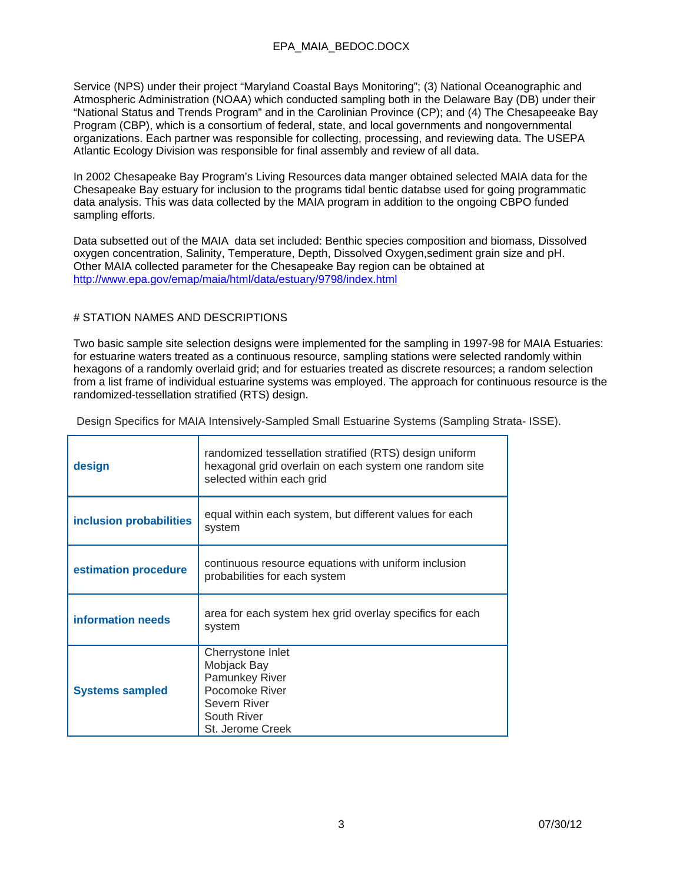Service (NPS) under their project "Maryland Coastal Bays Monitoring"; (3) National Oceanographic and Atmospheric Administration (NOAA) which conducted sampling both in the Delaware Bay (DB) under their "National Status and Trends Program" and in the Carolinian Province (CP); and (4) The Chesapeeake Bay Program (CBP), which is a consortium of federal, state, and local governments and nongovernmental organizations. Each partner was responsible for collecting, processing, and reviewing data. The USEPA Atlantic Ecology Division was responsible for final assembly and review of all data.

In 2002 Chesapeake Bay Program's Living Resources data manger obtained selected MAIA data for the Chesapeake Bay estuary for inclusion to the programs tidal bentic databse used for going programmatic data analysis. This was data collected by the MAIA program in addition to the ongoing CBPO funded sampling efforts.

Data subsetted out of the MAIA data set included: Benthic species composition and biomass, Dissolved oxygen concentration, Salinity, Temperature, Depth, Dissolved Oxygen,sediment grain size and pH. Other MAIA collected parameter for the Chesapeake Bay region can be obtained at http://www.epa.gov/emap/maia/html/data/estuary/9798/index.html

#### # STATION NAMES AND DESCRIPTIONS

Two basic sample site selection designs were implemented for the sampling in 1997-98 for MAIA Estuaries: for estuarine waters treated as a continuous resource, sampling stations were selected randomly within hexagons of a randomly overlaid grid; and for estuaries treated as discrete resources; a random selection from a list frame of individual estuarine systems was employed. The approach for continuous resource is the randomized-tessellation stratified (RTS) design.

Design Specifics for MAIA Intensively-Sampled Small Estuarine Systems (Sampling Strata- ISSE).

| design                  | randomized tessellation stratified (RTS) design uniform<br>hexagonal grid overlain on each system one random site<br>selected within each grid |
|-------------------------|------------------------------------------------------------------------------------------------------------------------------------------------|
| inclusion probabilities | equal within each system, but different values for each<br>system                                                                              |
| estimation procedure    | continuous resource equations with uniform inclusion<br>probabilities for each system                                                          |
| information needs       | area for each system hex grid overlay specifics for each<br>system                                                                             |
| <b>Systems sampled</b>  | Cherrystone Inlet<br>Mobjack Bay<br><b>Pamunkey River</b><br>Pocomoke River<br>Severn River<br>South River<br>St. Jerome Creek                 |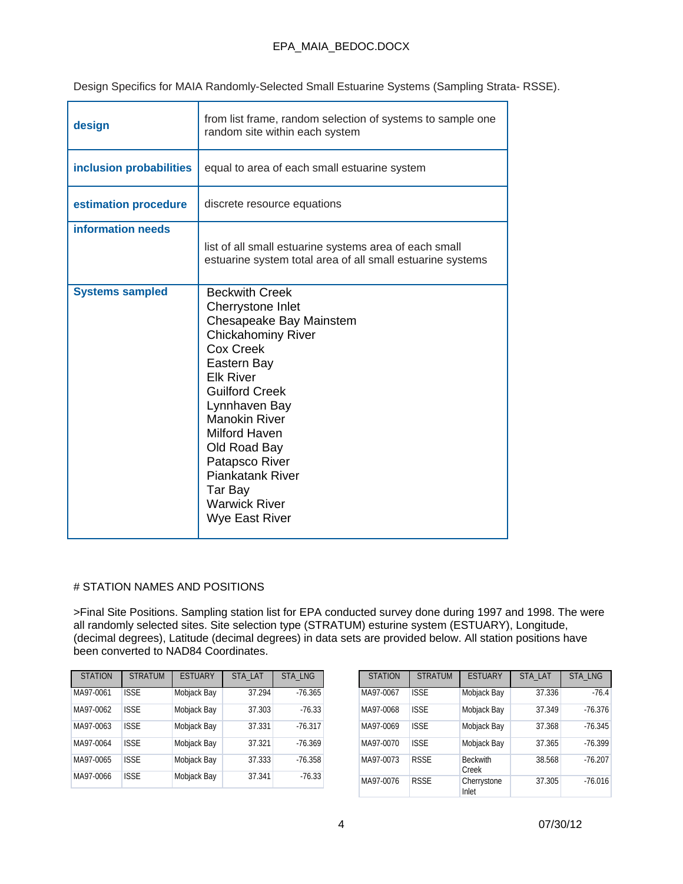Design Specifics for MAIA Randomly-Selected Small Estuarine Systems (Sampling Strata- RSSE).

| design                  | from list frame, random selection of systems to sample one<br>random site within each system                                                                                                                                                                                                                                                                          |
|-------------------------|-----------------------------------------------------------------------------------------------------------------------------------------------------------------------------------------------------------------------------------------------------------------------------------------------------------------------------------------------------------------------|
| inclusion probabilities | equal to area of each small estuarine system                                                                                                                                                                                                                                                                                                                          |
| estimation procedure    | discrete resource equations                                                                                                                                                                                                                                                                                                                                           |
| information needs       | list of all small estuarine systems area of each small<br>estuarine system total area of all small estuarine systems                                                                                                                                                                                                                                                  |
| <b>Systems sampled</b>  | <b>Beckwith Creek</b><br>Cherrystone Inlet<br>Chesapeake Bay Mainstem<br><b>Chickahominy River</b><br>Cox Creek<br>Eastern Bay<br><b>Elk River</b><br><b>Guilford Creek</b><br>Lynnhaven Bay<br><b>Manokin River</b><br><b>Milford Haven</b><br>Old Road Bay<br>Patapsco River<br><b>Piankatank River</b><br>Tar Bay<br><b>Warwick River</b><br><b>Wye East River</b> |

### # STATION NAMES AND POSITIONS

>Final Site Positions. Sampling station list for EPA conducted survey done during 1997 and 1998. The were all randomly selected sites. Site selection type (STRATUM) esturine system (ESTUARY), Longitude, (decimal degrees), Latitude (decimal degrees) in data sets are provided below. All station positions have been converted to NAD84 Coordinates.

| <b>STATION</b> | <b>STRATUM</b> | <b>ESTUARY</b> | STA LAT | <b>STA LNG</b> |
|----------------|----------------|----------------|---------|----------------|
| MA97-0061      | <b>ISSE</b>    | Mobjack Bay    | 37.294  | $-76.365$      |
| MA97-0062      | <b>ISSE</b>    | Mobjack Bay    | 37.303  | $-76.33$       |
| MA97-0063      | <b>ISSE</b>    | Mobjack Bay    | 37.331  | $-76.317$      |
| MA97-0064      | <b>ISSE</b>    | Mobjack Bay    | 37.321  | $-76.369$      |
| MA97-0065      | ISSE           | Mobjack Bay    | 37.333  | $-76.358$      |
| MA97-0066      | <b>ISSE</b>    | Mobjack Bay    | 37.341  | $-76.33$       |

| <b>STATION</b> | <b>STRATUM</b> | <b>ESTUARY</b>           | <b>STA LAT</b> | <b>STA LNG</b> |
|----------------|----------------|--------------------------|----------------|----------------|
| MA97-0067      | <b>ISSE</b>    | Mobjack Bay              | 37.336         | $-76.4$        |
| MA97-0068      | <b>ISSE</b>    | Mobjack Bay              | 37.349         | $-76.376$      |
| MA97-0069      | <b>ISSE</b>    | Mobjack Bay              | 37.368         | $-76.345$      |
| MA97-0070      | <b>ISSE</b>    | Mobjack Bay              | 37.365         | $-76.399$      |
| MA97-0073      | <b>RSSE</b>    | <b>Beckwith</b><br>Creek | 38.568         | $-76.207$      |
| MA97-0076      | <b>RSSE</b>    | Cherrystone<br>Inlet     | 37.305         | $-76.016$      |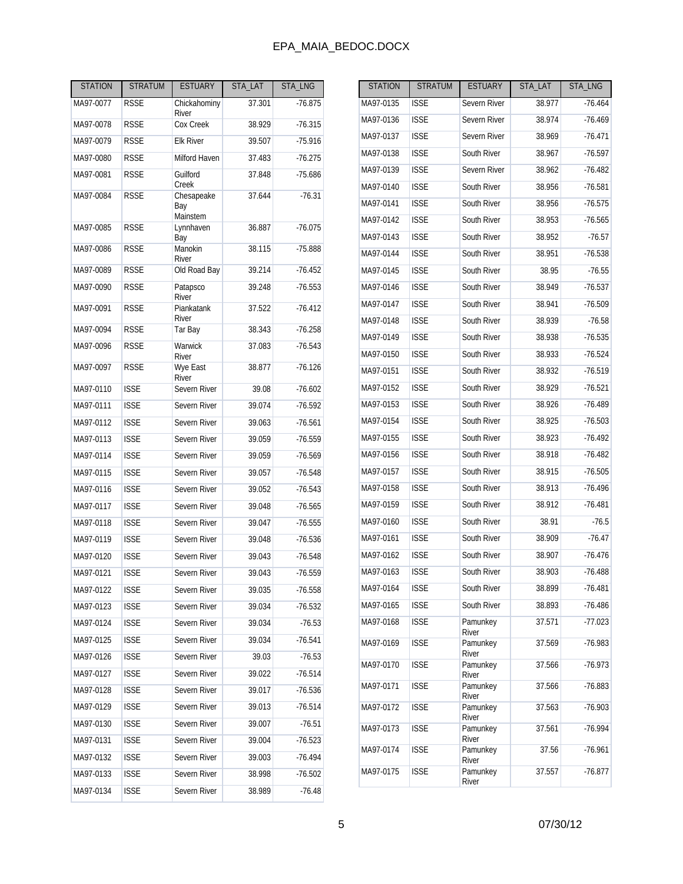| <b>STATION</b> | <b>STRATUM</b> | <b>ESTUARY</b>                | STA LAT | STA_LNG   |
|----------------|----------------|-------------------------------|---------|-----------|
| MA97-0077      | RSSE           | Chickahominy<br>River         | 37.301  | $-76.875$ |
| MA97-0078      | <b>RSSE</b>    | Cox Creek                     | 38.929  | $-76.315$ |
| MA97-0079      | <b>RSSE</b>    | <b>Elk River</b>              | 39.507  | $-75.916$ |
| MA97-0080      | <b>RSSE</b>    | Milford Haven                 | 37.483  | $-76.275$ |
| MA97-0081      | RSSE           | Guilford<br>Creek             | 37.848  | $-75.686$ |
| MA97-0084      | <b>RSSE</b>    | Chesapeake<br>Bay<br>Mainstem | 37.644  | $-76.31$  |
| MA97-0085      | <b>RSSE</b>    | Lynnhaven<br>Bay              | 36.887  | $-76.075$ |
| MA97-0086      | <b>RSSE</b>    | Manokin<br>River              | 38.115  | $-75.888$ |
| MA97-0089      | <b>RSSE</b>    | Old Road Bay                  | 39.214  | $-76.452$ |
| MA97-0090      | <b>RSSE</b>    | Patapsco<br>River             | 39.248  | $-76.553$ |
| MA97-0091      | <b>RSSE</b>    | Piankatank<br>River           | 37.522  | $-76.412$ |
| MA97-0094      | <b>RSSE</b>    | Tar Bay                       | 38.343  | $-76.258$ |
| MA97-0096      | RSSE           | Warwick<br>River              | 37.083  | $-76.543$ |
| MA97-0097      | <b>RSSE</b>    | Wye East<br><b>River</b>      | 38.877  | $-76.126$ |
| MA97-0110      | <b>ISSE</b>    | Severn River                  | 39.08   | $-76.602$ |
| MA97-0111      | <b>ISSE</b>    | Severn River                  | 39.074  | $-76.592$ |
| MA97-0112      | <b>ISSE</b>    | Severn River                  | 39.063  | $-76.561$ |
| MA97-0113      | <b>ISSE</b>    | Severn River                  | 39.059  | $-76.559$ |
| MA97-0114      | <b>ISSE</b>    | Severn River                  | 39.059  | $-76.569$ |
| MA97-0115      | <b>ISSE</b>    | Severn River                  | 39.057  | $-76.548$ |
| MA97-0116      | <b>ISSE</b>    | Severn River                  | 39.052  | $-76.543$ |
| MA97-0117      | <b>ISSE</b>    | Severn River                  | 39.048  | $-76.565$ |
| MA97-0118      | <b>ISSE</b>    | Severn River                  | 39.047  | $-76.555$ |
| MA97-0119      | <b>ISSE</b>    | Severn River                  | 39.048  | $-76.536$ |
| MA97-0120      | <b>ISSE</b>    | Severn River                  | 39.043  | $-76.548$ |
| MA97-0121      | <b>ISSE</b>    | Severn River                  | 39.043  | $-76.559$ |
| MA97-0122      | <b>ISSE</b>    | Severn River                  | 39.035  | $-76.558$ |
| MA97-0123      | <b>ISSE</b>    | Severn River                  | 39.034  | $-76.532$ |
| MA97-0124      | <b>ISSE</b>    | Severn River                  | 39.034  | $-76.53$  |
| MA97-0125      | <b>ISSE</b>    | Severn River                  | 39.034  | $-76.541$ |
| MA97-0126      | <b>ISSE</b>    | Severn River                  | 39.03   | $-76.53$  |
| MA97-0127      | <b>ISSE</b>    | Severn River                  | 39.022  | $-76.514$ |
| MA97-0128      | <b>ISSE</b>    | Severn River                  | 39.017  | $-76.536$ |
| MA97-0129      | <b>ISSE</b>    | Severn River                  | 39.013  | $-76.514$ |
| MA97-0130      | <b>ISSE</b>    | Severn River                  | 39.007  | $-76.51$  |
| MA97-0131      | <b>ISSE</b>    | Severn River                  | 39.004  | $-76.523$ |
| MA97-0132      | <b>ISSE</b>    | Severn River                  | 39.003  | -76.494   |
| MA97-0133      | <b>ISSE</b>    | Severn River                  | 38.998  | $-76.502$ |
| MA97-0134      | <b>ISSE</b>    | Severn River                  | 38.989  | $-76.48$  |

| <b>STATION</b> | <b>STRATUM</b> | <b>ESTUARY</b>    | STA_LAT | STA_LNG   |
|----------------|----------------|-------------------|---------|-----------|
| MA97-0135      | <b>ISSE</b>    | Severn River      | 38.977  | $-76.464$ |
| MA97-0136      | <b>ISSE</b>    | Severn River      | 38.974  | $-76.469$ |
| MA97-0137      | <b>ISSE</b>    | Severn River      | 38.969  | $-76.471$ |
| MA97-0138      | <b>ISSE</b>    | South River       | 38.967  | $-76.597$ |
| MA97-0139      | <b>ISSE</b>    | Severn River      | 38.962  | $-76.482$ |
| MA97-0140      | <b>ISSE</b>    | South River       | 38.956  | $-76.581$ |
| MA97-0141      | <b>ISSE</b>    | South River       | 38.956  | $-76.575$ |
| MA97-0142      | <b>ISSE</b>    | South River       | 38.953  | $-76.565$ |
| MA97-0143      | <b>ISSE</b>    | South River       | 38.952  | $-76.57$  |
| MA97-0144      | <b>ISSE</b>    | South River       | 38.951  | $-76.538$ |
| MA97-0145      | <b>ISSE</b>    | South River       | 38.95   | $-76.55$  |
| MA97-0146      | <b>ISSE</b>    | South River       | 38.949  | $-76.537$ |
| MA97-0147      | <b>ISSE</b>    | South River       | 38.941  | $-76.509$ |
| MA97-0148      | <b>ISSE</b>    | South River       | 38.939  | $-76.58$  |
| MA97-0149      | <b>ISSE</b>    | South River       | 38.938  | $-76.535$ |
| MA97-0150      | <b>ISSE</b>    | South River       | 38.933  | -76.524   |
| MA97-0151      | <b>ISSE</b>    | South River       | 38.932  | $-76.519$ |
| MA97-0152      | <b>ISSE</b>    | South River       | 38.929  | $-76.521$ |
| MA97-0153      | <b>ISSE</b>    | South River       | 38.926  | $-76.489$ |
| MA97-0154      | <b>ISSE</b>    | South River       | 38.925  | $-76.503$ |
| MA97-0155      | <b>ISSE</b>    | South River       | 38.923  | $-76.492$ |
| MA97-0156      | <b>ISSE</b>    | South River       | 38.918  | $-76.482$ |
| MA97-0157      | <b>ISSE</b>    | South River       | 38.915  | $-76.505$ |
| MA97-0158      | <b>ISSE</b>    | South River       | 38.913  | $-76.496$ |
| MA97-0159      | <b>ISSE</b>    | South River       | 38.912  | $-76.481$ |
| MA97-0160      | <b>ISSE</b>    | South River       | 38.91   | $-76.5$   |
| MA97-0161      | <b>ISSE</b>    | South River       | 38.909  | $-76.47$  |
| MA97-0162      | <b>ISSE</b>    | South River       | 38.907  | $-76.476$ |
| MA97-0163      | <b>ISSE</b>    | South River       | 38.903  | $-76.488$ |
| MA97-0164      | <b>ISSE</b>    | South River       | 38.899  | $-76.481$ |
| MA97-0165      | <b>ISSE</b>    | South River       | 38.893  | -76.486   |
| MA97-0168      | <b>ISSE</b>    | Pamunkey<br>River | 37.571  | -77.023   |
| MA97-0169      | <b>ISSE</b>    | Pamunkey<br>River | 37.569  | -76.983   |
| MA97-0170      | <b>ISSE</b>    | Pamunkey<br>River | 37.566  | $-76.973$ |
| MA97-0171      | <b>ISSE</b>    | Pamunkey<br>River | 37.566  | -76.883   |
| MA97-0172      | <b>ISSE</b>    | Pamunkey<br>River | 37.563  | $-76.903$ |
| MA97-0173      | <b>ISSE</b>    | Pamunkey<br>River | 37.561  | -76.994   |
| MA97-0174      | <b>ISSE</b>    | Pamunkey<br>River | 37.56   | -76.961   |
| MA97-0175      | <b>ISSE</b>    | Pamunkey<br>River | 37.557  | -76.877   |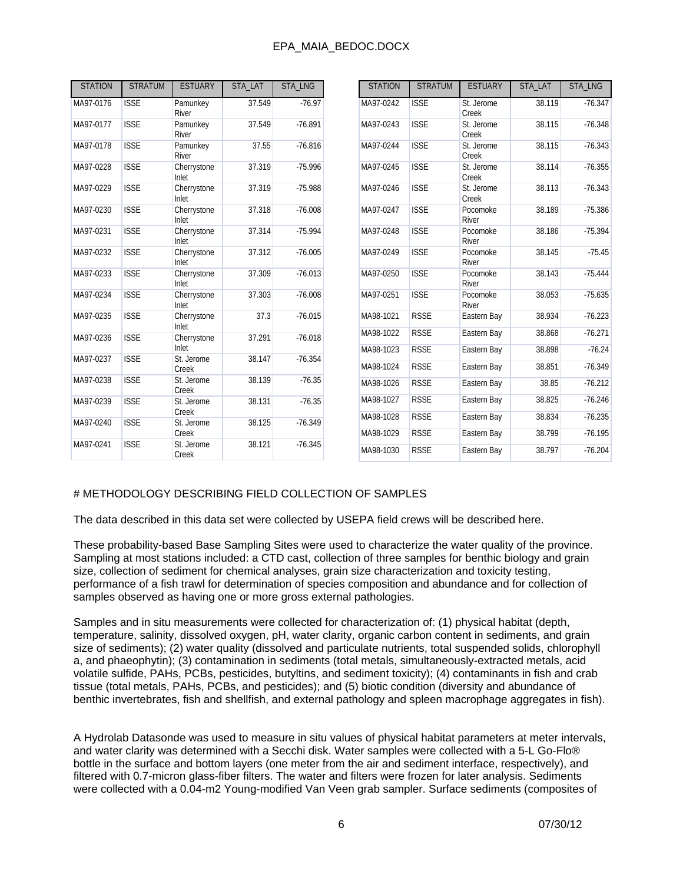| <b>STATION</b> | <b>STRATUM</b> | <b>ESTUARY</b>           | STA LAT | STA_LNG   | <b>STATION</b>         | <b>STRATUM</b>             | <b>ESTUARY</b>             | STA LAT          | STA_LNG                |
|----------------|----------------|--------------------------|---------|-----------|------------------------|----------------------------|----------------------------|------------------|------------------------|
| MA97-0176      | <b>ISSE</b>    | Pamunkey<br><b>River</b> | 37.549  | $-76.97$  | MA97-0242              | <b>ISSE</b>                | St. Jerome<br>Creek        | 38.119           | $-76.347$              |
| MA97-0177      | <b>ISSE</b>    | Pamunkey<br>River        | 37.549  | $-76.891$ | MA97-0243              | <b>ISSE</b>                | St. Jerome<br>Creek        | 38.115           | $-76.348$              |
| MA97-0178      | <b>ISSE</b>    | Pamunkey<br>River        | 37.55   | $-76.816$ | MA97-0244              | <b>ISSE</b>                | St. Jerome<br>Creek        | 38.115           | $-76.343$              |
| MA97-0228      | <b>ISSE</b>    | Cherrystone<br>Inlet     | 37.319  | $-75.996$ | MA97-0245              | <b>ISSE</b>                | St. Jerome<br>Creek        | 38.114           | $-76.355$              |
| MA97-0229      | <b>ISSE</b>    | Cherrystone<br>Inlet     | 37.319  | $-75.988$ | MA97-0246              | <b>ISSE</b>                | St. Jerome<br>Creek        | 38.113           | $-76.343$              |
| MA97-0230      | <b>ISSE</b>    | Cherrystone<br>Inlet     | 37.318  | $-76.008$ | MA97-0247              | <b>ISSE</b>                | Pocomoke<br>River          | 38.189           | $-75.386$              |
| MA97-0231      | <b>ISSE</b>    | Cherrystone<br>Inlet     | 37.314  | $-75.994$ | MA97-0248              | <b>ISSE</b>                | Pocomoke<br>River          | 38.186           | $-75.394$              |
| MA97-0232      | <b>ISSE</b>    | Cherrystone<br>Inlet     | 37.312  | $-76.005$ | MA97-0249              | <b>ISSE</b>                | Pocomoke<br>River          | 38.145           | $-75.45$               |
| MA97-0233      | <b>ISSE</b>    | Cherrystone<br>Inlet     | 37.309  | $-76.013$ | MA97-0250              | <b>ISSE</b>                | Pocomoke<br>River          | 38.143           | $-75.444$              |
| MA97-0234      | <b>ISSE</b>    | Cherrystone<br>Inlet     | 37.303  | $-76.008$ | MA97-0251              | <b>ISSE</b>                | Pocomoke<br>River          | 38.053           | $-75.635$              |
| MA97-0235      | <b>ISSE</b>    | Cherrystone<br>Inlet     | 37.3    | $-76.015$ | MA98-1021              | <b>RSSE</b>                | Eastern Bay                | 38.934           | $-76.223$              |
| MA97-0236      | <b>ISSE</b>    | Cherrystone              | 37.291  | $-76.018$ | MA98-1022              | <b>RSSE</b>                | Eastern Bay                | 38.868           | $-76.271$              |
| MA97-0237      | <b>ISSE</b>    | Inlet<br>St. Jerome      | 38.147  | $-76.354$ | MA98-1023              | <b>RSSE</b>                | Eastern Bay                | 38.898           | $-76.24$               |
|                |                | Creek                    |         |           | MA98-1024              | <b>RSSE</b>                | Eastern Bay                | 38.851           | $-76.349$              |
| MA97-0238      | <b>ISSE</b>    | St. Jerome<br>Creek      | 38.139  | $-76.35$  | MA98-1026              | <b>RSSE</b>                | Eastern Bay                | 38.85            | $-76.212$              |
| MA97-0239      | <b>ISSE</b>    | St. Jerome<br>Creek      | 38.131  | $-76.35$  | MA98-1027              | <b>RSSE</b>                | Eastern Bay                | 38.825           | $-76.246$              |
| MA97-0240      | <b>ISSE</b>    | St. Jerome<br>Creek      | 38.125  | $-76.349$ | MA98-1028<br>MA98-1029 | <b>RSSE</b><br><b>RSSE</b> | Eastern Bay<br>Eastern Bay | 38.834<br>38.799 | $-76.235$<br>$-76.195$ |
| MA97-0241      | <b>ISSE</b>    | St. Jerome<br>Creek      | 38.121  | $-76.345$ | MA98-1030              | <b>RSSE</b>                | Eastern Bay                | 38.797           | $-76.204$              |

### # METHODOLOGY DESCRIBING FIELD COLLECTION OF SAMPLES

The data described in this data set were collected by USEPA field crews will be described here.

These probability-based Base Sampling Sites were used to characterize the water quality of the province. Sampling at most stations included: a CTD cast, collection of three samples for benthic biology and grain size, collection of sediment for chemical analyses, grain size characterization and toxicity testing, performance of a fish trawl for determination of species composition and abundance and for collection of samples observed as having one or more gross external pathologies.

Samples and in situ measurements were collected for characterization of: (1) physical habitat (depth, temperature, salinity, dissolved oxygen, pH, water clarity, organic carbon content in sediments, and grain size of sediments); (2) water quality (dissolved and particulate nutrients, total suspended solids, chlorophyll a, and phaeophytin); (3) contamination in sediments (total metals, simultaneously-extracted metals, acid volatile sulfide, PAHs, PCBs, pesticides, butyltins, and sediment toxicity); (4) contaminants in fish and crab tissue (total metals, PAHs, PCBs, and pesticides); and (5) biotic condition (diversity and abundance of benthic invertebrates, fish and shellfish, and external pathology and spleen macrophage aggregates in fish).

A Hydrolab Datasonde was used to measure in situ values of physical habitat parameters at meter intervals, and water clarity was determined with a Secchi disk. Water samples were collected with a 5-L Go-Flo® bottle in the surface and bottom layers (one meter from the air and sediment interface, respectively), and filtered with 0.7-micron glass-fiber filters. The water and filters were frozen for later analysis. Sediments were collected with a 0.04-m2 Young-modified Van Veen grab sampler. Surface sediments (composites of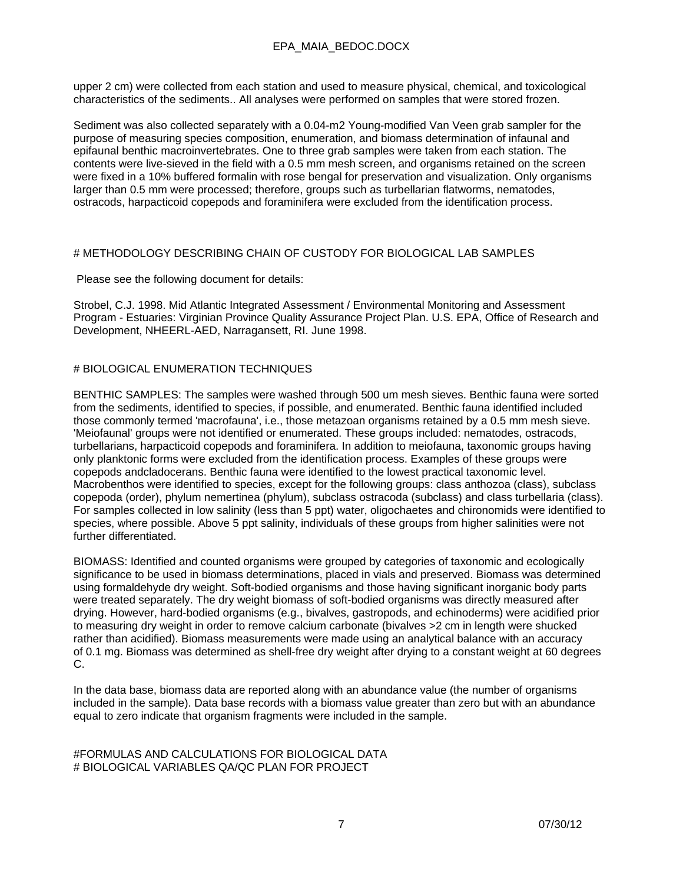upper 2 cm) were collected from each station and used to measure physical, chemical, and toxicological characteristics of the sediments.. All analyses were performed on samples that were stored frozen.

Sediment was also collected separately with a 0.04-m2 Young-modified Van Veen grab sampler for the purpose of measuring species composition, enumeration, and biomass determination of infaunal and epifaunal benthic macroinvertebrates. One to three grab samples were taken from each station. The contents were live-sieved in the field with a 0.5 mm mesh screen, and organisms retained on the screen were fixed in a 10% buffered formalin with rose bengal for preservation and visualization. Only organisms larger than 0.5 mm were processed; therefore, groups such as turbellarian flatworms, nematodes, ostracods, harpacticoid copepods and foraminifera were excluded from the identification process.

### # METHODOLOGY DESCRIBING CHAIN OF CUSTODY FOR BIOLOGICAL LAB SAMPLES

Please see the following document for details:

Strobel, C.J. 1998. Mid Atlantic Integrated Assessment / Environmental Monitoring and Assessment Program - Estuaries: Virginian Province Quality Assurance Project Plan. U.S. EPA, Office of Research and Development, NHEERL-AED, Narragansett, RI. June 1998.

### # BIOLOGICAL ENUMERATION TECHNIQUES

BENTHIC SAMPLES: The samples were washed through 500 um mesh sieves. Benthic fauna were sorted from the sediments, identified to species, if possible, and enumerated. Benthic fauna identified included those commonly termed 'macrofauna', i.e., those metazoan organisms retained by a 0.5 mm mesh sieve. 'Meiofaunal' groups were not identified or enumerated. These groups included: nematodes, ostracods, turbellarians, harpacticoid copepods and foraminifera. In addition to meiofauna, taxonomic groups having only planktonic forms were excluded from the identification process. Examples of these groups were copepods andcladocerans. Benthic fauna were identified to the lowest practical taxonomic level. Macrobenthos were identified to species, except for the following groups: class anthozoa (class), subclass copepoda (order), phylum nemertinea (phylum), subclass ostracoda (subclass) and class turbellaria (class). For samples collected in low salinity (less than 5 ppt) water, oligochaetes and chironomids were identified to species, where possible. Above 5 ppt salinity, individuals of these groups from higher salinities were not further differentiated.

BIOMASS: Identified and counted organisms were grouped by categories of taxonomic and ecologically significance to be used in biomass determinations, placed in vials and preserved. Biomass was determined using formaldehyde dry weight. Soft-bodied organisms and those having significant inorganic body parts were treated separately. The dry weight biomass of soft-bodied organisms was directly measured after drying. However, hard-bodied organisms (e.g., bivalves, gastropods, and echinoderms) were acidified prior to measuring dry weight in order to remove calcium carbonate (bivalves >2 cm in length were shucked rather than acidified). Biomass measurements were made using an analytical balance with an accuracy of 0.1 mg. Biomass was determined as shell-free dry weight after drying to a constant weight at 60 degrees C.

In the data base, biomass data are reported along with an abundance value (the number of organisms included in the sample). Data base records with a biomass value greater than zero but with an abundance equal to zero indicate that organism fragments were included in the sample.

#FORMULAS AND CALCULATIONS FOR BIOLOGICAL DATA # BIOLOGICAL VARIABLES QA/QC PLAN FOR PROJECT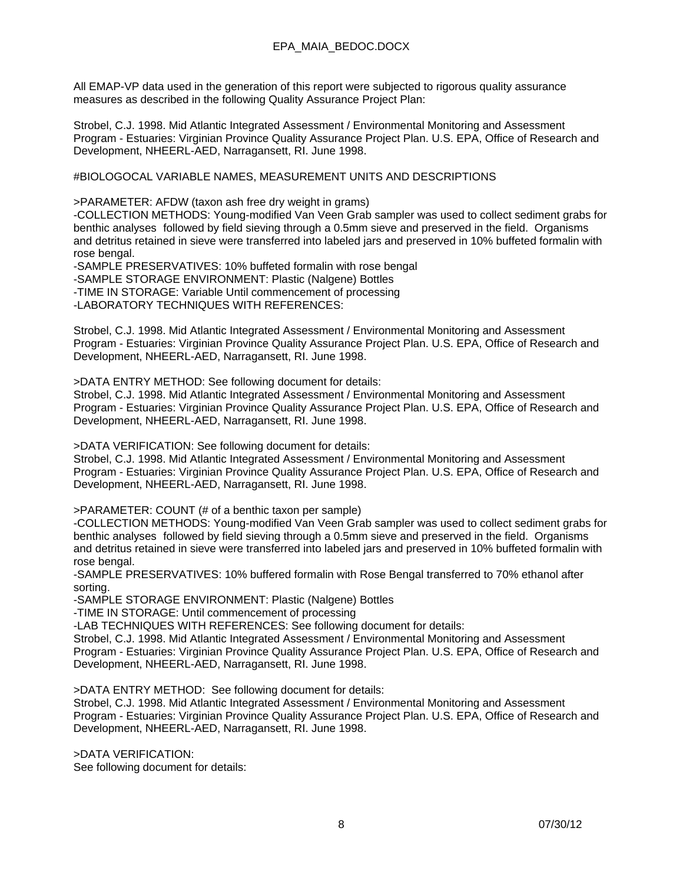All EMAP-VP data used in the generation of this report were subjected to rigorous quality assurance measures as described in the following Quality Assurance Project Plan:

Strobel, C.J. 1998. Mid Atlantic Integrated Assessment / Environmental Monitoring and Assessment Program - Estuaries: Virginian Province Quality Assurance Project Plan. U.S. EPA, Office of Research and Development, NHEERL-AED, Narragansett, RI. June 1998.

#BIOLOGOCAL VARIABLE NAMES, MEASUREMENT UNITS AND DESCRIPTIONS

>PARAMETER: AFDW (taxon ash free dry weight in grams)

-COLLECTION METHODS: Young-modified Van Veen Grab sampler was used to collect sediment grabs for benthic analyses followed by field sieving through a 0.5mm sieve and preserved in the field. Organisms and detritus retained in sieve were transferred into labeled jars and preserved in 10% buffeted formalin with rose bengal.

-SAMPLE PRESERVATIVES: 10% buffeted formalin with rose bengal -SAMPLE STORAGE ENVIRONMENT: Plastic (Nalgene) Bottles -TIME IN STORAGE: Variable Until commencement of processing -LABORATORY TECHNIQUES WITH REFERENCES:

Strobel, C.J. 1998. Mid Atlantic Integrated Assessment / Environmental Monitoring and Assessment Program - Estuaries: Virginian Province Quality Assurance Project Plan. U.S. EPA, Office of Research and Development, NHEERL-AED, Narragansett, RI. June 1998.

>DATA ENTRY METHOD: See following document for details:

Strobel, C.J. 1998. Mid Atlantic Integrated Assessment / Environmental Monitoring and Assessment Program - Estuaries: Virginian Province Quality Assurance Project Plan. U.S. EPA, Office of Research and Development, NHEERL-AED, Narragansett, RI. June 1998.

>DATA VERIFICATION: See following document for details:

Strobel, C.J. 1998. Mid Atlantic Integrated Assessment / Environmental Monitoring and Assessment Program - Estuaries: Virginian Province Quality Assurance Project Plan. U.S. EPA, Office of Research and Development, NHEERL-AED, Narragansett, RI. June 1998.

>PARAMETER: COUNT (# of a benthic taxon per sample)

-COLLECTION METHODS: Young-modified Van Veen Grab sampler was used to collect sediment grabs for benthic analyses followed by field sieving through a 0.5mm sieve and preserved in the field. Organisms and detritus retained in sieve were transferred into labeled jars and preserved in 10% buffeted formalin with rose bengal.

-SAMPLE PRESERVATIVES: 10% buffered formalin with Rose Bengal transferred to 70% ethanol after sorting.

-SAMPLE STORAGE ENVIRONMENT: Plastic (Nalgene) Bottles

-TIME IN STORAGE: Until commencement of processing

-LAB TECHNIQUES WITH REFERENCES: See following document for details:

Strobel, C.J. 1998. Mid Atlantic Integrated Assessment / Environmental Monitoring and Assessment Program - Estuaries: Virginian Province Quality Assurance Project Plan. U.S. EPA, Office of Research and Development, NHEERL-AED, Narragansett, RI. June 1998.

>DATA ENTRY METHOD: See following document for details:

Strobel, C.J. 1998. Mid Atlantic Integrated Assessment / Environmental Monitoring and Assessment Program - Estuaries: Virginian Province Quality Assurance Project Plan. U.S. EPA, Office of Research and Development, NHEERL-AED, Narragansett, RI. June 1998.

>DATA VERIFICATION: See following document for details: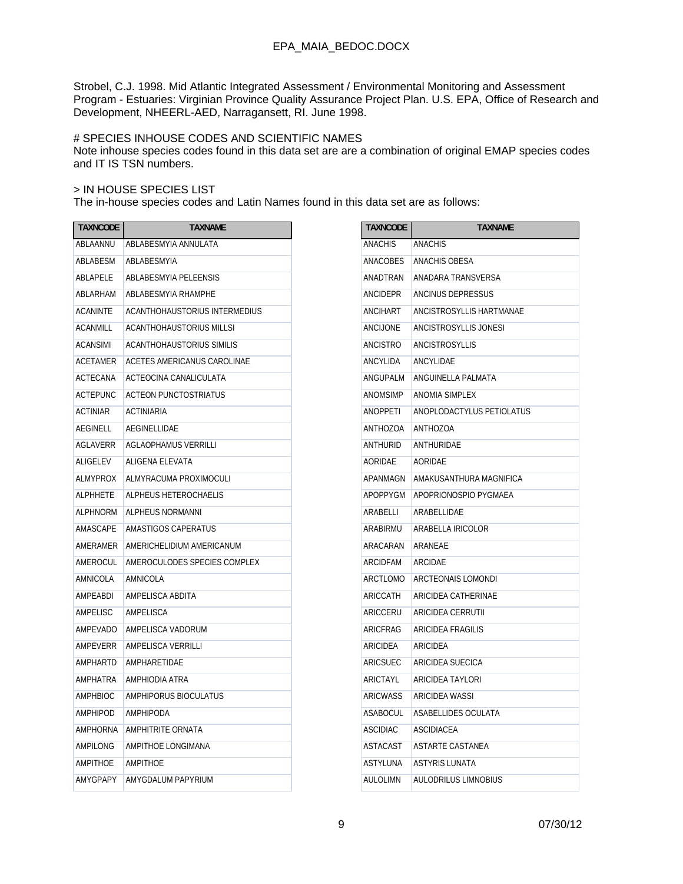Strobel, C.J. 1998. Mid Atlantic Integrated Assessment / Environmental Monitoring and Assessment Program - Estuaries: Virginian Province Quality Assurance Project Plan. U.S. EPA, Office of Research and Development, NHEERL-AED, Narragansett, RI. June 1998.

### # SPECIES INHOUSE CODES AND SCIENTIFIC NAMES

Note inhouse species codes found in this data set are are a combination of original EMAP species codes and IT IS TSN numbers.

### > IN HOUSE SPECIES LIST

The in-house species codes and Latin Names found in this data set are as follows:

| <b>TAXNCODE</b> | <b>TAXNAME</b>                   | <b>TAXNCODE</b> | <b>TAXNAME</b>              |
|-----------------|----------------------------------|-----------------|-----------------------------|
| ABLAANNU        | ABLABESMYIA ANNULATA             | <b>ANACHIS</b>  | <b>ANACHIS</b>              |
| ABLABESM        | ABLABESMYIA                      | <b>ANACOBES</b> | <b>ANACHIS OBESA</b>        |
| ABLAPELE        | ABLABESMYIA PELEENSIS            | ANADTRAN        | ANADARA TRANSVERSA          |
| ABLARHAM        | ABLABESMYIA RHAMPHE              | ANCIDEPR        | ANCINUS DEPRESSUS           |
| <b>ACANINTE</b> | ACANTHOHAUSTORIUS INTERMEDIUS    | ANCIHART        | ANCISTROSYLLIS HARTMANAE    |
| <b>ACANMILL</b> | <b>ACANTHOHAUSTORIUS MILLSI</b>  | <b>ANCIJONE</b> | ANCISTROSYLLIS JONESI       |
| <b>ACANSIMI</b> | <b>ACANTHOHAUSTORIUS SIMILIS</b> | <b>ANCISTRO</b> | <b>ANCISTROSYLLIS</b>       |
| <b>ACETAMER</b> | ACETES AMERICANUS CAROLINAE      | ANCYLIDA        | ANCYLIDAE                   |
| ACTECANA        | ACTEOCINA CANALICULATA           | ANGUPALM        | ANGUINELLA PALMATA          |
| <b>ACTEPUNC</b> | <b>ACTEON PUNCTOSTRIATUS</b>     | <b>ANOMSIMP</b> | ANOMIA SIMPLEX              |
| <b>ACTINIAR</b> | <b>ACTINIARIA</b>                | <b>ANOPPETI</b> | ANOPLODACTYLUS PETIOLATUS   |
| <b>AEGINELL</b> | AEGINELLIDAE                     | ANTHOZOA        | ANTHOZOA                    |
| AGLAVERR        | <b>AGLAOPHAMUS VERRILLI</b>      | ANTHURID        | ANTHURIDAE                  |
| ALIGELEV        | ALIGENA ELEVATA                  | AORIDAE         | AORIDAE                     |
| <b>ALMYPROX</b> | ALMYRACUMA PROXIMOCULI           | APANMAGN        | AMAKUSANTHURA MAGNIFICA     |
| <b>ALPHHETE</b> | ALPHEUS HETEROCHAELIS            | APOPPYGM        | APOPRIONOSPIO PYGMAEA       |
| <b>ALPHNORM</b> | ALPHEUS NORMANNI                 | ARABELLI        | ARABELLIDAE                 |
| AMASCAPE        | AMASTIGOS CAPERATUS              | ARABIRMU        | ARABELLA IRICOLOR           |
| AMERAMER        | AMERICHELIDIUM AMERICANUM        | ARACARAN        | ARANEAE                     |
| AMEROCUL        | AMEROCULODES SPECIES COMPLEX     | <b>ARCIDFAM</b> | ARCIDAE                     |
| AMNICOLA        | AMNICOLA                         | ARCTLOMO        | ARCTEONAIS LOMONDI          |
| AMPEABDI        | AMPELISCA ABDITA                 | ARICCATH        | ARICIDEA CATHERINAE         |
| AMPELISC        | AMPELISCA                        | ARICCERU        | ARICIDEA CERRUTII           |
| AMPEVADO        | AMPELISCA VADORUM                | ARICFRAG        | <b>ARICIDEA FRAGILIS</b>    |
| AMPEVERR        | AMPELISCA VERRILLI               | ARICIDEA        | ARICIDEA                    |
| AMPHARTD        | AMPHARETIDAE                     | ARICSUEC        | ARICIDEA SUECICA            |
| AMPHATRA        | AMPHIODIA ATRA                   | ARICTAYL        | ARICIDEA TAYLORI            |
| AMPHBIOC        | AMPHIPORUS BIOCULATUS            | <b>ARICWASS</b> | ARICIDEA WASSI              |
| <b>AMPHIPOD</b> | <b>AMPHIPODA</b>                 | <b>ASABOCUL</b> | ASABELLIDES OCULATA         |
| <b>AMPHORNA</b> | <b>AMPHITRITE ORNATA</b>         | <b>ASCIDIAC</b> | <b>ASCIDIACEA</b>           |
| AMPILONG        | AMPITHOE LONGIMANA               | <b>ASTACAST</b> | ASTARTE CASTANEA            |
| AMPITHOE        | <b>AMPITHOE</b>                  | ASTYLUNA        | <b>ASTYRIS LUNATA</b>       |
| AMYGPAPY        | AMYGDALUM PAPYRIUM               | <b>AULOLIMN</b> | <b>AULODRILUS LIMNOBIUS</b> |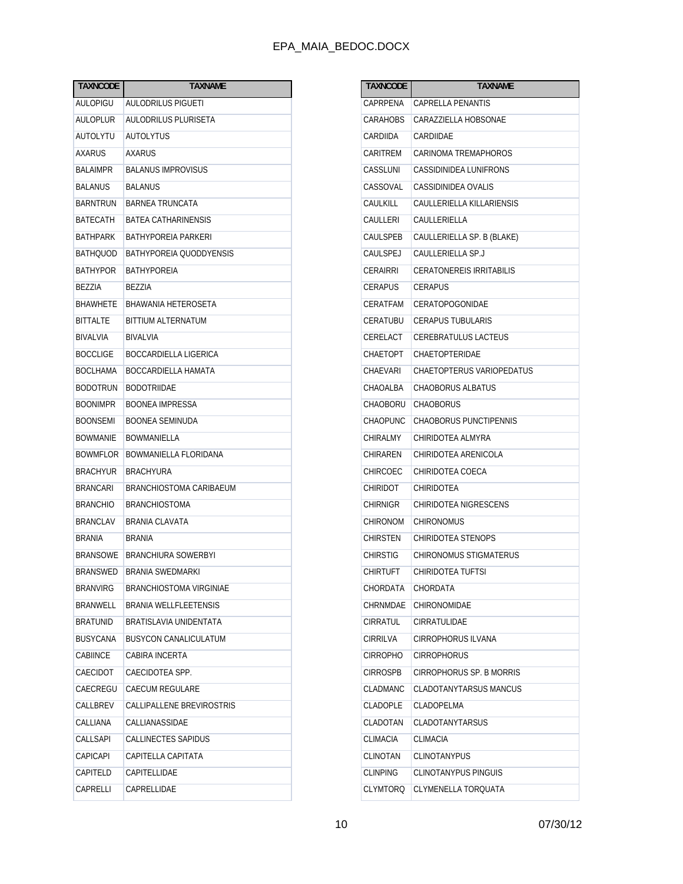| <b>TAXNCODE</b> | <b>TAXNAME</b>               |
|-----------------|------------------------------|
| AULOPIGU        | AULODRILUS PIGUETI           |
| AULOPLUR        | AULODRILUS PLURISETA         |
| AUTOLYTU        | <b>AUTOLYTUS</b>             |
| <b>AXARUS</b>   | AXARUS                       |
| <b>BALAIMPR</b> | <b>BALANUS IMPROVISUS</b>    |
| <b>BALANUS</b>  | <b>BALANUS</b>               |
| <b>BARNTRUN</b> | <b>BARNEA TRUNCATA</b>       |
| BATECATH        | <b>BATEA CATHARINENSIS</b>   |
| BATHPARK        | BATHYPOREIA PARKERI          |
| <b>BATHQUOD</b> | BATHYPOREIA QUODDYENSIS      |
| <b>BATHYPOR</b> | BATHYPOREIA                  |
| BEZZIA          | BEZZIA                       |
| <b>BHAWHETE</b> | BHAWANIA HETEROSETA          |
| <b>BITTALTE</b> | <b>BITTIUM ALTERNATUM</b>    |
| BIVALVIA        | <b>BIVALVIA</b>              |
| <b>BOCCLIGE</b> | BOCCARDIELLA LIGERICA        |
| <b>BOCLHAMA</b> | BOCCARDIELLA HAMATA          |
| <b>BODOTRUN</b> | <b>BODOTRIIDAE</b>           |
| <b>BOONIMPR</b> | <b>BOONEA IMPRESSA</b>       |
| <b>BOONSEMI</b> | BOONEA SEMINUDA              |
| <b>BOWMANIE</b> | BOWMANIELLA                  |
| <b>BOWMFLOR</b> | BOWMANIELLA FLORIDANA        |
| <b>BRACHYUR</b> | <b>BRACHYURA</b>             |
| <b>BRANCARI</b> | BRANCHIOSTOMA CARIBAEUM      |
| <b>BRANCHIO</b> | <b>BRANCHIOSTOMA</b>         |
| <b>BRANCLAV</b> | BRANIA CLAVATA               |
| <b>BRANIA</b>   | <b>BRANIA</b>                |
| <b>BRANSOWE</b> | <b>BRANCHIURA SOWERBYI</b>   |
| BRANSWED        | BRANIA SWEDMARKI             |
| <b>BRANVIRG</b> | BRANCHIOSTOMA VIRGINIAE      |
| BRANWELL        | BRANIA WELLFLEETENSIS        |
| <b>BRATUNID</b> | BRATISLAVIA UNIDENTATA       |
| <b>BUSYCANA</b> | <b>BUSYCON CANALICULATUM</b> |
| <b>CABIINCE</b> | CABIRA INCERTA               |
| CAECIDOT        | CAECIDOTEA SPP.              |
| CAECREGU        | CAECUM REGULARE              |
| CALLBREV        | CALLIPALLENE BREVIROSTRIS    |
| CALLIANA        | CALLIANASSIDAE               |
| CALLSAPI        | CALLINECTES SAPIDUS          |
| <b>CAPICAPI</b> | CAPITELLA CAPITATA           |
| CAPITELD        | CAPITELLIDAE                 |
| CAPRELLI        | CAPRELLIDAE                  |

| TAXNCODE        | TAXNAME                         |
|-----------------|---------------------------------|
| CAPRPENA        | CAPRELLA PENANTIS               |
| CARAHOBS        | CARAZZIELLA HOBSONAE            |
| CARDIIDA        | CARDIIDAE                       |
| CARITREM        | CARINOMA TREMAPHOROS            |
| CASSLUNI        | CASSIDINIDEA LUNIFRONS          |
| CASSOVAL        | <b>CASSIDINIDEA OVALIS</b>      |
| CAULKILL        | CAULLERIELLA KILLARIENSIS       |
| CAULLERI        | CAULLERIELLA                    |
| CAULSPEB        | CAULLERIELLA SP. B (BLAKE)      |
| CAULSPEJ        | CAULLERIELLA SP.J               |
| <b>CERAIRRI</b> | <b>CERATONEREIS IRRITABILIS</b> |
| <b>CERAPUS</b>  | <b>CERAPUS</b>                  |
| CERATFAM        | CERATOPOGONIDAE                 |
| CERATUBU        | <b>CERAPUS TUBULARIS</b>        |
| CERELACT        | <b>CEREBRATULUS LACTEUS</b>     |
| CHAETOPT        | CHAETOPTERIDAE                  |
| CHAEVARI        | CHAETOPTERUS VARIOPEDATUS       |
| CHAOALBA        | <b>CHAOBORUS ALBATUS</b>        |
| <b>CHAOBORU</b> | <b>CHAOBORUS</b>                |
| <b>CHAOPUNC</b> | CHAOBORUS PUNCTIPENNIS          |
| <b>CHIRALMY</b> | CHIRIDOTEA ALMYRA               |
| CHIRAREN        | CHIRIDOTEA ARENICOLA            |
| <b>CHIRCOEC</b> | CHIRIDOTEA COECA                |
| <b>CHIRIDOT</b> | <b>CHIRIDOTEA</b>               |
| <b>CHIRNIGR</b> | CHIRIDOTEA NIGRESCENS           |
| <b>CHIRONOM</b> | <b>CHIRONOMUS</b>               |
| <b>CHIRSTEN</b> | CHIRIDOTEA STENOPS              |
| <b>CHIRSTIG</b> | <b>CHIRONOMUS STIGMATERUS</b>   |
| <b>CHIRTUFT</b> | CHIRIDOTEA TUFTSI               |
| CHORDATA        | CHORDATA                        |
| CHRNMDAE        | CHIRONOMIDAE                    |
| CIRRATUL        | CIRRATULIDAE                    |
| <b>CIRRILVA</b> | <b>CIRROPHORUS ILVANA</b>       |
| <b>CIRROPHO</b> | <b>CIRROPHORUS</b>              |
| <b>CIRROSPB</b> | CIRROPHORUS SP. B MORRIS        |
| CLADMANC        | CLADOTANYTARSUS MANCUS          |
| <b>CLADOPLE</b> | <b>CLADOPELMA</b>               |
| CLADOTAN        | <b>CLADOTANYTARSUS</b>          |
| CLIMACIA        | <b>CLIMACIA</b>                 |
| CLINOTAN        | CLINOTANYPUS                    |
| <b>CLINPING</b> | CLINOTANYPUS PINGUIS            |
| <b>CLYMTORQ</b> | CLYMENELLA TORQUATA             |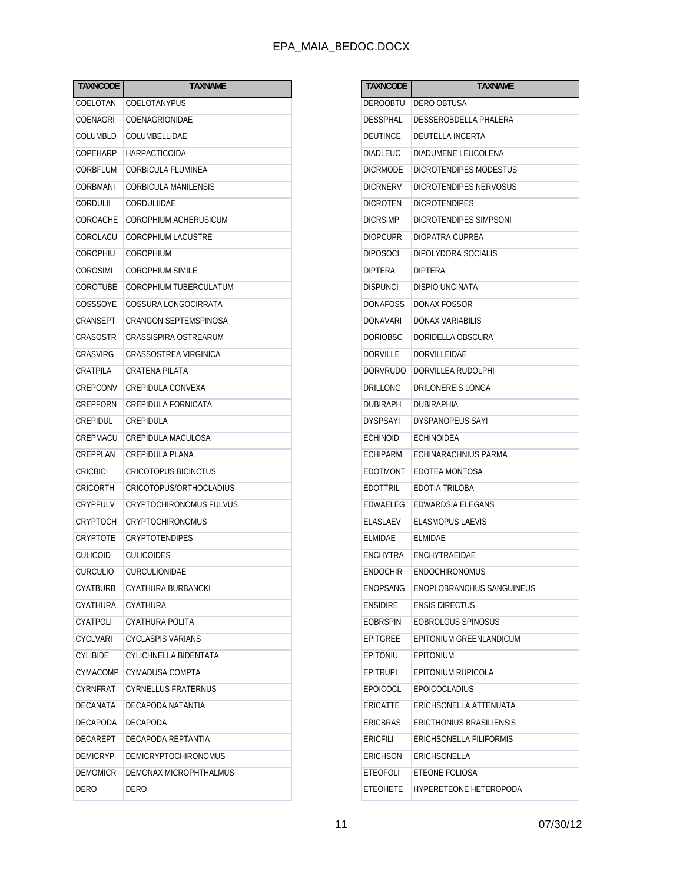| <b>TAXNCODE</b> | <b>TAXNAME</b>                 |
|-----------------|--------------------------------|
| COELOTAN        | COELOTANYPUS                   |
| COENAGRI        | COENAGRIONIDAE                 |
| COLUMBLD        | COLUMBELLIDAE                  |
| COPEHARP        | HARPACTICOIDA                  |
| CORBFLUM        | <b>CORBICULA FLUMINEA</b>      |
| CORBMANI        | <b>CORBICULA MANILENSIS</b>    |
| CORDULII        | CORDULIIDAE                    |
| COROACHE        | COROPHIUM ACHERUSICUM          |
| COROLACU        | <b>COROPHIUM LACUSTRE</b>      |
| COROPHIU        | COROPHIUM                      |
| COROSIMI        | <b>COROPHIUM SIMILE</b>        |
| COROTUBE        | COROPHIUM TUBERCULATUM         |
| COSSSOYE        | COSSURA LONGOCIRRATA           |
| CRANSEPT        | CRANGON SEPTEMSPINOSA          |
| CRASOSTR        | CRASSISPIRA OSTREARUM          |
| CRASVIRG        | CRASSOSTREA VIRGINICA          |
| CRATPILA        | <b>CRATENA PILATA</b>          |
| CREPCONV        | CREPIDULA CONVEXA              |
| CREPFORN        | CREPIDULA FORNICATA            |
| CREPIDUL        | CREPIDULA                      |
| CREPMACU        | CREPIDULA MACULOSA             |
| CREPPLAN        | CREPIDULA PLANA                |
| <b>CRICBICI</b> | <b>CRICOTOPUS BICINCTUS</b>    |
| CRICORTH        | CRICOTOPUS/ORTHOCLADIUS        |
| CRYPFULV        | <b>CRYPTOCHIRONOMUS FULVUS</b> |
| CRYPTOCH        | <b>CRYPTOCHIRONOMUS</b>        |
| CRYPTOTE        | <b>CRYPTOTENDIPES</b>          |
| CULICOID        | <b>CULICOIDES</b>              |
| <b>CURCULIO</b> | CURCULIONIDAE                  |
| CYATBURB        | CYATHURA BURBANCKI             |
| CYATHURA        | CYATHURA                       |
| CYATPOLI        | CYATHURA POLITA                |
| <b>CYCLVARI</b> | <b>CYCLASPIS VARIANS</b>       |
| <b>CYLIBIDE</b> | CYLICHNELLA BIDENTATA          |
| CYMACOMP        | CYMADUSA COMPTA                |
| CYRNFRAT        | <b>CYRNELLUS FRATERNUS</b>     |
| <b>DECANATA</b> | DECAPODA NATANTIA              |
| DECAPODA        | <b>DECAPODA</b>                |
| DECAREPT        | DECAPODA REPTANTIA             |
| <b>DEMICRYP</b> | <b>DEMICRYPTOCHIRONOMUS</b>    |
| <b>DEMOMICR</b> | DEMONAX MICROPHTHALMUS         |
| DERO            | DERO                           |

| TAXNCODE        | TAXNAME                         |
|-----------------|---------------------------------|
| DEROOBTU        | DERO OBTUSA                     |
| <b>DESSPHAL</b> | DESSEROBDELLA PHALERA           |
| DEUTINCE        | DEUTELLA INCERTA                |
| <b>DIADLEUC</b> | DIADUMENE LEUCOLENA             |
| DICRMODE        | DICROTENDIPES MODESTUS          |
| <b>DICRNERV</b> | DICROTENDIPES NERVOSUS          |
| DICROTEN        | <b>DICROTENDIPES</b>            |
| <b>DICRSIMP</b> | DICROTENDIPES SIMPSONI          |
| <b>DIOPCUPR</b> | DIOPATRA CUPREA                 |
| <b>DIPOSOCI</b> | DIPOLYDORA SOCIALIS             |
| DIPTERA         | <b>DIPTERA</b>                  |
| <b>DISPUNCI</b> | DISPIO UNCINATA                 |
| DONAFOSS        | DONAX FOSSOR                    |
| DONAVARI        | DONAX VARIABILIS                |
| <b>DORIOBSC</b> | DORIDELLA OBSCURA               |
| DORVILLE        | <b>DORVILLEIDAE</b>             |
| DORVRUDO        | DORVILLEA RUDOLPHI              |
| DRILLONG        | DRILONEREIS LONGA               |
| DUBIRAPH        | <b>DUBIRAPHIA</b>               |
| <b>DYSPSAYI</b> | <b>DYSPANOPEUS SAYI</b>         |
| ECHINOID        | <b>ECHINOIDEA</b>               |
| <b>ECHIPARM</b> | ECHINARACHNIUS PARMA            |
| EDOTMONT        | EDOTEA MONTOSA                  |
| EDOTTRIL        | EDOTIA TRILOBA                  |
| EDWAELEG        | EDWARDSIA ELEGANS               |
| ELASLAEV        | <b>ELASMOPUS LAEVIS</b>         |
| ELMIDAE         | ELMIDAE                         |
| <b>ENCHYTRA</b> | ENCHYTRAEIDAE                   |
| <b>ENDOCHIR</b> | ENDOCHIRONOMUS                  |
| <b>ENOPSANG</b> | ENOPLOBRANCHUS SANGUINEUS       |
| <b>ENSIDIRE</b> | <b>ENSIS DIRECTUS</b>           |
| EOBRSPIN        | EOBROLGUS SPINOSUS              |
| <b>EPITGREE</b> | EPITONIUM GREENLANDICUM         |
| EPITONIU        | <b>EPITONIUM</b>                |
| <b>EPITRUPI</b> | EPITONIUM RUPICOLA              |
| <b>EPOICOCL</b> | <b>EPOICOCLADIUS</b>            |
| <b>ERICATTE</b> | ERICHSONELLA ATTENUATA          |
| <b>ERICBRAS</b> | <b>ERICTHONIUS BRASILIENSIS</b> |
| ERICFILI        | ERICHSONELLA FILIFORMIS         |
| <b>ERICHSON</b> | ERICHSONELLA                    |
| <b>ETEOFOLI</b> | ETEONE FOLIOSA                  |
| <b>ETEOHETE</b> | <b>HYPERETEONE HETEROPODA</b>   |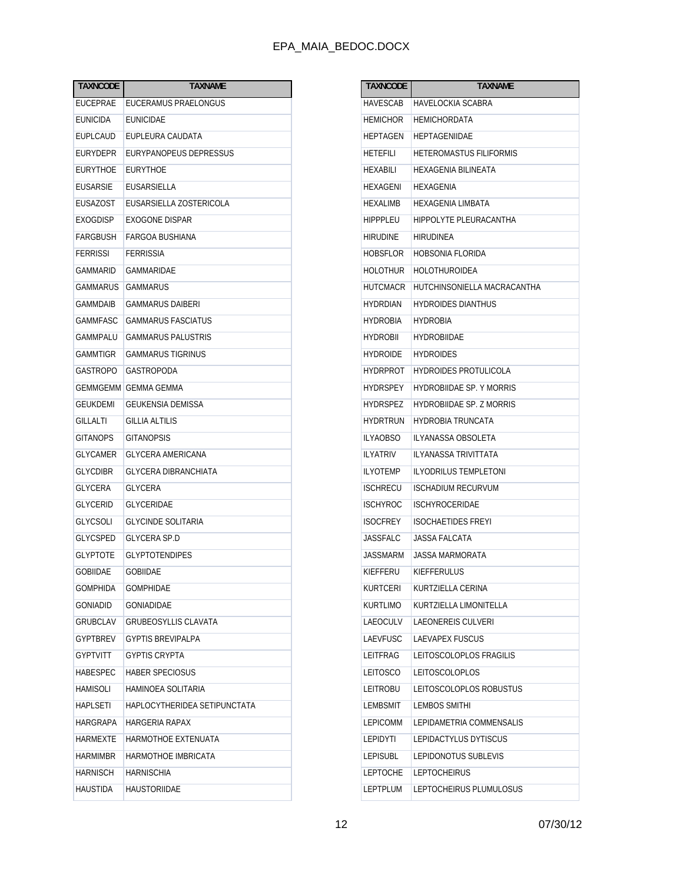| <b>TAXNCODE</b> | <b>TAXNAME</b>                 |  |  |  |
|-----------------|--------------------------------|--|--|--|
| EUCEPRAE        | EUCERAMUS PRAELONGUS           |  |  |  |
| <b>EUNICIDA</b> | EUNICIDAE                      |  |  |  |
| <b>EUPLCAUD</b> | EUPLEURA CAUDATA               |  |  |  |
| EURYDEPR        | EURYPANOPEUS DEPRESSUS         |  |  |  |
| <b>EURYTHOE</b> | <b>EURYTHOE</b>                |  |  |  |
| <b>EUSARSIE</b> | EUSARSIELLA                    |  |  |  |
| <b>EUSAZOST</b> | <b>FUSARSIELLA ZOSTERICOLA</b> |  |  |  |
| EXOGDISP        | <b>EXOGONE DISPAR</b>          |  |  |  |
| FARGBUSH        | FARGOA BUSHIANA                |  |  |  |
| <b>FERRISSI</b> | FERRISSIA                      |  |  |  |
| GAMMARID        | GAMMARIDAE                     |  |  |  |
| GAMMARUS        | <b>GAMMARUS</b>                |  |  |  |
| GAMMDAIB        | <b>GAMMARUS DAIBERI</b>        |  |  |  |
| GAMMFASC        | <b>GAMMARUS FASCIATUS</b>      |  |  |  |
| <b>GAMMPALU</b> | <b>GAMMARUS PALUSTRIS</b>      |  |  |  |
| GAMMTIGR        | <b>GAMMARUS TIGRINUS</b>       |  |  |  |
| <b>GASTROPO</b> | <b>GASTROPODA</b>              |  |  |  |
| GEMMGEMM        | GEMMA GEMMA                    |  |  |  |
| GEUKDEMI        | GEUKENSIA DEMISSA              |  |  |  |
| GILLALTI        | <b>GILLIA ALTILIS</b>          |  |  |  |
| <b>GITANOPS</b> | <b>GITANOPSIS</b>              |  |  |  |
| GLYCAMER        | GLYCERA AMERICANA              |  |  |  |
| <b>GLYCDIBR</b> | <b>GLYCERA DIBRANCHIATA</b>    |  |  |  |
| GLYCERA         | <b>GLYCERA</b>                 |  |  |  |
| <b>GLYCERID</b> | <b>GLYCERIDAE</b>              |  |  |  |
| <b>GLYCSOLI</b> | <b>GLYCINDE SOLITARIA</b>      |  |  |  |
| <b>GLYCSPED</b> | <b>GLYCERA SP.D</b>            |  |  |  |
| GLYPTOTE        | <b>GLYPTOTENDIPES</b>          |  |  |  |
| GOBIIDAE        | GOBIIDAE                       |  |  |  |
| GOMPHIDA        | GOMPHIDAE                      |  |  |  |
| GONIADID        | <b>GONIADIDAE</b>              |  |  |  |
| GRUBCLAV        | <b>GRUBEOSYLLIS CLAVATA</b>    |  |  |  |
| <b>GYPTBREV</b> | <b>GYPTIS BREVIPALPA</b>       |  |  |  |
| <b>GYPTVITT</b> | <b>GYPTIS CRYPTA</b>           |  |  |  |
| HABESPEC        | HABER SPECIOSUS                |  |  |  |
| HAMISOLI        | HAMINOEA SOLITARIA             |  |  |  |
| <b>HAPLSETI</b> | HAPLOCYTHERIDEA SETIPUNCTATA   |  |  |  |
| HARGRAPA        | <b>HARGERIA RAPAX</b>          |  |  |  |
| HARMEXTE        | HARMOTHOE EXTENUATA            |  |  |  |
| HARMIMBR        | HARMOTHOE IMBRICATA            |  |  |  |
| <b>HARNISCH</b> | HARNISCHIA                     |  |  |  |
| HAUSTIDA        | HAUSTORIIDAE                   |  |  |  |

| <b>TAXNCODE</b> | TAXNAME                         |  |  |  |
|-----------------|---------------------------------|--|--|--|
| <b>HAVESCAB</b> | HAVELOCKIA SCABRA               |  |  |  |
| <b>HEMICHOR</b> | <b>HEMICHORDATA</b>             |  |  |  |
| <b>HEPTAGEN</b> | HEPTAGENIIDAE                   |  |  |  |
| <b>HETEFILI</b> | HETEROMASTUS FILIFORMIS         |  |  |  |
| HEXABILI        | HEXAGENIA BILINEATA             |  |  |  |
| HEXAGENI        | HEXAGENIA                       |  |  |  |
| <b>HEXALIMB</b> | HEXAGENIA LIMBATA               |  |  |  |
| <b>HIPPPLEU</b> | HIPPOLYTE PLEURACANTHA          |  |  |  |
| <b>HIRUDINE</b> | HIRUDINEA                       |  |  |  |
| HOBSFLOR        | HOBSONIA FLORIDA                |  |  |  |
| <b>HOLOTHUR</b> | HOLOTHUROIDEA                   |  |  |  |
| <b>HUTCMACR</b> | HUTCHINSONIELLA MACRACANTHA     |  |  |  |
| <b>HYDRDIAN</b> | <b>HYDROIDES DIANTHUS</b>       |  |  |  |
| <b>HYDROBIA</b> | <b>HYDROBIA</b>                 |  |  |  |
| <b>HYDROBII</b> | HYDROBIIDAE                     |  |  |  |
| <b>HYDROIDE</b> | <b>HYDROIDES</b>                |  |  |  |
| <b>HYDRPROT</b> | HYDROIDES PROTULICOLA           |  |  |  |
| <b>HYDRSPEY</b> | <b>HYDROBIIDAE SP. Y MORRIS</b> |  |  |  |
| <b>HYDRSPEZ</b> | HYDROBIIDAE SP. Z MORRIS        |  |  |  |
| <b>HYDRTRUN</b> | HYDROBIA TRUNCATA               |  |  |  |
| <b>ILYAOBSO</b> | ILYANASSA OBSOLETA              |  |  |  |
| <b>ILYATRIV</b> | ILYANASSA TRIVITTATA            |  |  |  |
| <b>ILYOTEMP</b> | ILYODRILUS TEMPLETONI           |  |  |  |
| <b>ISCHRECU</b> | <b>ISCHADIUM RECURVUM</b>       |  |  |  |
| <b>ISCHYROC</b> | ISCHYROCERIDAE                  |  |  |  |
| <b>ISOCFREY</b> | <b>ISOCHAETIDES FREYI</b>       |  |  |  |
| <b>JASSFALC</b> | JASSA FALCATA                   |  |  |  |
| JASSMARM        | JASSA MARMORATA                 |  |  |  |
| KIEFFERU        | KIEFFERULUS                     |  |  |  |
| KURTCERI        | KURTZIELLA CERINA               |  |  |  |
| <b>KURTLIMO</b> | KURTZIELLA LIMONITELLA          |  |  |  |
| LAEOCULV        | <b>LAEONEREIS CULVERI</b>       |  |  |  |
| <b>LAEVFUSC</b> | LAEVAPEX FUSCUS                 |  |  |  |
| LEITFRAG        | LEITOSCOLOPLOS FRAGILIS         |  |  |  |
| LEITOSCO        | <b>LEITOSCOLOPLOS</b>           |  |  |  |
| LEITROBU        | LEITOSCOLOPLOS ROBUSTUS         |  |  |  |
| <b>LEMBSMIT</b> | <b>LEMBOS SMITHI</b>            |  |  |  |
| <b>LEPICOMM</b> | LEPIDAMETRIA COMMENSALIS        |  |  |  |
| LEPIDYTI        | LEPIDACTYLUS DYTISCUS           |  |  |  |
| <b>LEPISUBL</b> | LEPIDONOTUS SUBLEVIS            |  |  |  |
| <b>LEPTOCHE</b> | <b>LEPTOCHEIRUS</b>             |  |  |  |
| LEPTPLUM        | LEPTOCHEIRUS PLUMULOSUS         |  |  |  |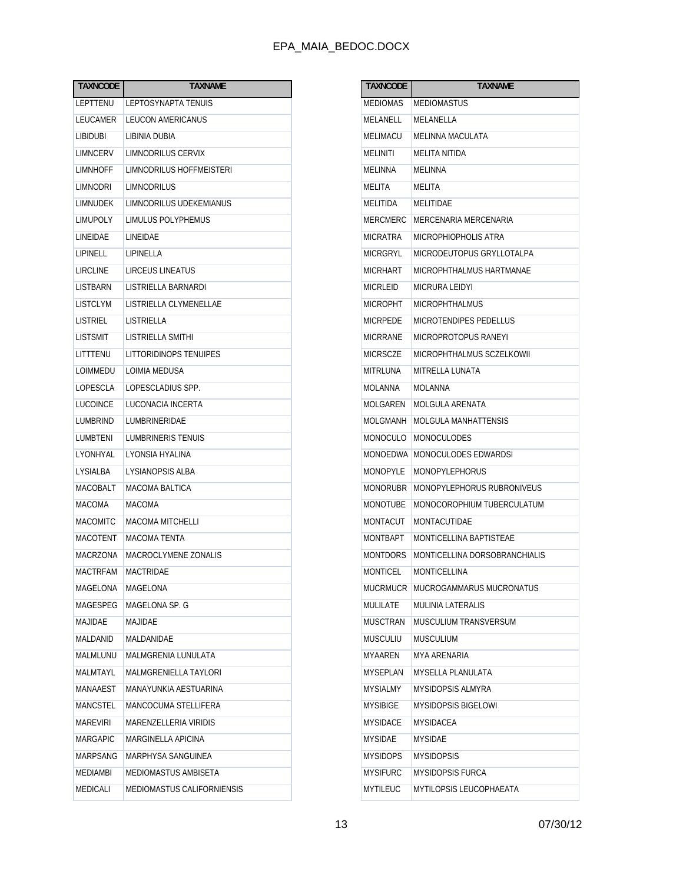| <b>TAXNCODE</b> | TAXNAME                      |  |  |
|-----------------|------------------------------|--|--|
| LEPTTENU        | LEPTOSYNAPTA TENUIS          |  |  |
| LEUCAMER        | LEUCON AMERICANUS            |  |  |
| <b>LIBIDUBI</b> | LIBINIA DUBIA                |  |  |
| LIMNCERV        | LIMNODRILUS CERVIX           |  |  |
| LIMNHOFF        | LIMNODRILUS HOFFMEISTERI     |  |  |
| LIMNODRI        | LIMNODRILUS                  |  |  |
| LIMNUDEK        | LIMNODRILUS UDEKEMIANUS      |  |  |
| LIMUPOLY        | LIMULUS POLYPHEMUS           |  |  |
| LINEIDAE        | LINEIDAE                     |  |  |
| LIPINELL        | LIPINELLA                    |  |  |
| LIRCLINE        | LIRCEUS LINEATUS             |  |  |
| LISTBARN        | LISTRIELLA BARNARDI          |  |  |
| LISTCLYM        | LISTRIELLA CLYMENELLAE       |  |  |
| LISTRIEL        | LISTRIELLA                   |  |  |
| LISTSMIT        | LISTRIELLA SMITHI            |  |  |
| LITTTENU        | LITTORIDINOPS TENUIPES       |  |  |
| LOIMMEDU        | LOIMIA MEDUSA                |  |  |
| LOPESCLA        | LOPESCLADIUS SPP.            |  |  |
| LUCOINCE        | LUCONACIA INCERTA            |  |  |
| LUMBRIND        | LUMBRINERIDAE                |  |  |
| LUMBTENI        | LUMBRINERIS TENUIS           |  |  |
| LYONHYAL        | LYONSIA HYALINA              |  |  |
| LYSIALBA        | LYSIANOPSIS ALBA             |  |  |
| MACOBALT        | MACOMA BALTICA               |  |  |
| MACOMA          | MACOMA                       |  |  |
| <b>MACOMITC</b> | MACOMA MITCHELLI             |  |  |
| MACOTENT        | MACOMA TENTA                 |  |  |
| MACRZONA        | MACROCLYMENE ZONALIS         |  |  |
| MACTRFAM        | MACTRIDAE                    |  |  |
| MAGELONA        | MAGELONA                     |  |  |
| MAGESPEG        | MAGELONA SP. G               |  |  |
| MAJIDAE         | MAJIDAE                      |  |  |
| MALDANID        | <b>MALDANIDAE</b>            |  |  |
| MALMLUNU        | MALMGRENIA LUNULATA          |  |  |
| MALMTAYL        | <b>MALMGRENIELLA TAYLORI</b> |  |  |
| MANAAEST        | MANAYUNKIA AESTUARINA        |  |  |
| MANCSTEL        | MANCOCUMA STELLIFERA         |  |  |
| MAREVIRI        | MARENZELLERIA VIRIDIS        |  |  |
| MARGAPIC        | MARGINELLA APICINA           |  |  |
| MARPSANG        | MARPHYSA SANGUINEA           |  |  |
| MEDIAMBI        | MEDIOMASTUS AMBISETA         |  |  |
| MEDICALI        | MEDIOMASTUS CALIFORNIENSIS   |  |  |

| <b>TAXNCODE</b> | <b>TAXNAME</b>                |  |  |
|-----------------|-------------------------------|--|--|
| MEDIOMAS        | MEDIOMASTUS                   |  |  |
| MELANELL        | MELANELLA                     |  |  |
| MELIMACU        | MELINNA MACULATA              |  |  |
| MELINITI        | MELITA NITIDA                 |  |  |
| MELINNA         | MELINNA                       |  |  |
| <b>MELITA</b>   | MELITA                        |  |  |
| MELITIDA        | MELITIDAE                     |  |  |
| MERCMERC        | MERCENARIA MERCENARIA         |  |  |
| <b>MICRATRA</b> | MICROPHIOPHOLIS ATRA          |  |  |
| <b>MICRGRYL</b> | MICRODEUTOPUS GRYLLOTALPA     |  |  |
| <b>MICRHART</b> | MICROPHTHALMUS HARTMANAE      |  |  |
| <b>MICRLEID</b> | <b>MICRURA LEIDYI</b>         |  |  |
| <b>MICROPHT</b> | <b>MICROPHTHALMUS</b>         |  |  |
| <b>MICRPEDE</b> | <b>MICROTENDIPES PEDELLUS</b> |  |  |
| <b>MICRRANE</b> | MICROPROTOPUS RANEYI          |  |  |
| <b>MICRSCZE</b> | MICROPHTHALMUS SCZELKOWII     |  |  |
| MITRLUNA        | MITRELLA LUNATA               |  |  |
| <b>MOLANNA</b>  | MOLANNA                       |  |  |
| MOLGAREN        | MOLGULA ARENATA               |  |  |
| MOLGMANH        | MOLGULA MANHATTENSIS          |  |  |
| MONOCULO        | <b>MONOCULODES</b>            |  |  |
| <b>MONOEDWA</b> | MONOCULODES EDWARDSI          |  |  |
| <b>MONOPYLE</b> | MONOPYLEPHORUS                |  |  |
| <b>MONORUBR</b> | MONOPYLEPHORUS RUBRONIVEUS    |  |  |
| <b>MONOTUBE</b> | MONOCOROPHIUM TUBERCULATUM    |  |  |
| <b>MONTACUT</b> | MONTACUTIDAE                  |  |  |
| <b>MONTBAPT</b> | MONTICELLINA BAPTISTEAE       |  |  |
| <b>MONTDORS</b> | MONTICELLINA DORSOBRANCHIALIS |  |  |
| <b>MONTICEL</b> | MONTICELLINA                  |  |  |
| MUCRMUCR        | MUCROGAMMARUS MUCRONATUS      |  |  |
| <b>MULILATE</b> | <b>MULINIA LATERALIS</b>      |  |  |
| <b>MUSCTRAN</b> | MUSCULIUM TRANSVERSUM         |  |  |
| <b>MUSCULIU</b> | MUSCULIUM                     |  |  |
| MYAAREN         | <b>MYA ARFNARIA</b>           |  |  |
| <b>MYSEPLAN</b> | <b>MYSELLA PLANULATA</b>      |  |  |
| <b>MYSIALMY</b> | <b>MYSIDOPSIS ALMYRA</b>      |  |  |
| <b>MYSIBIGE</b> | <b>MYSIDOPSIS BIGELOWI</b>    |  |  |
| <b>MYSIDACE</b> | <b>MYSIDACEA</b>              |  |  |
| <b>MYSIDAE</b>  | <b>MYSIDAE</b>                |  |  |
| <b>MYSIDOPS</b> | <b>MYSIDOPSIS</b>             |  |  |
| <b>MYSIFURC</b> | MYSIDOPSIS FURCA              |  |  |
| <b>MYTILEUC</b> | MYTILOPSIS LEUCOPHAEATA       |  |  |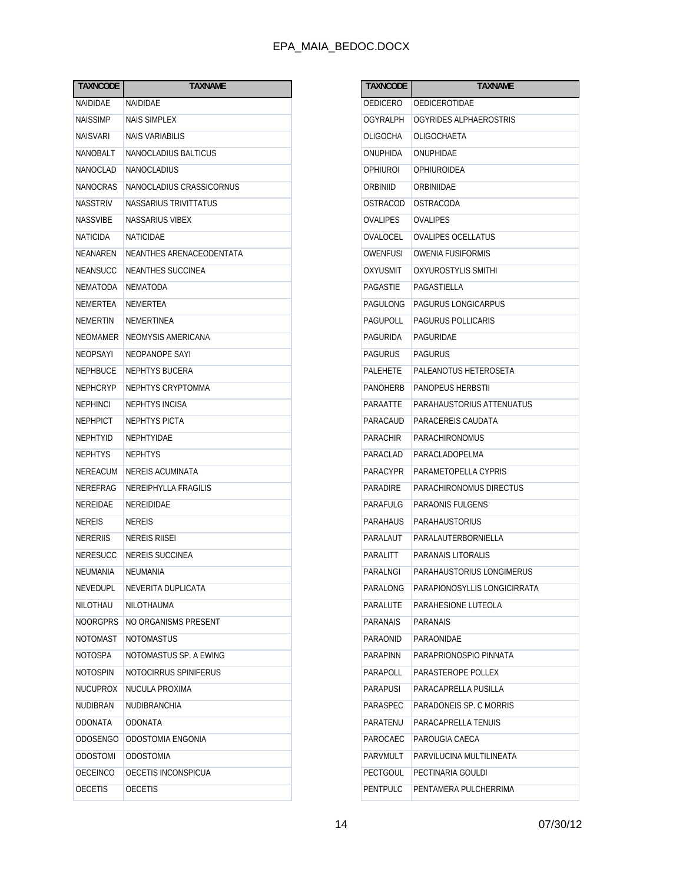| <b>TAXNCODE</b> | <b>TAXNAME</b>           |  |  |
|-----------------|--------------------------|--|--|
| NAIDIDAE        | NAIDIDAE                 |  |  |
| NAISSIMP        | <b>NAIS SIMPLEX</b>      |  |  |
| NAISVARI        | <b>NAIS VARIABILIS</b>   |  |  |
| NANOBALT        | NANOCLADIUS BALTICUS     |  |  |
| NANOCLAD        | NANOCLADIUS              |  |  |
| NANOCRAS        | NANOCLADIUS CRASSICORNUS |  |  |
| NASSTRIV        | NASSARIUS TRIVITTATUS    |  |  |
| <b>NASSVIRF</b> | NASSARIUS VIBEX          |  |  |
| <b>NATICIDA</b> | NATICIDAE                |  |  |
| NEANAREN        | NEANTHES ARENACEODENTATA |  |  |
| NEANSUCC        | NEANTHES SUCCINEA        |  |  |
| NEMATODA        | NEMATODA                 |  |  |
| NEMERTEA        | NEMERTEA                 |  |  |
| NEMERTIN        | NEMERTINEA               |  |  |
| <b>NEOMAMER</b> | NEOMYSIS AMERICANA       |  |  |
| NEOPSAYI        | NEOPANOPE SAYI           |  |  |
| NEPHBUCE        | NEPHTYS BUCERA           |  |  |
| <b>NEPHCRYP</b> | NEPHTYS CRYPTOMMA        |  |  |
| <b>NEPHINCI</b> | NEPHTYS INCISA           |  |  |
| NEPHPICT        | NEPHTYS PICTA            |  |  |
| NEPHTYID        | NEPHTYIDAE               |  |  |
| <b>NEPHTYS</b>  | <b>NEPHTYS</b>           |  |  |
| NEREACUM        | NEREIS ACUMINATA         |  |  |
| NEREFRAG        | NEREIPHYLLA FRAGILIS     |  |  |
| NEREIDAE        | NEREIDIDAE               |  |  |
| <b>NERFIS</b>   | NEREIS                   |  |  |
| <b>NERERIIS</b> | NEREIS RIISEI            |  |  |
| NERESUCC        | NEREIS SUCCINEA          |  |  |
| NEUMANIA        | NEUMANIA                 |  |  |
| NEVEDUPL        | NEVERITA DUPLICATA       |  |  |
| NILOTHAU        | NILOTHAUMA               |  |  |
| NOORGPRS        | NO ORGANISMS PRESENT     |  |  |
| <b>NOTOMAST</b> | NOTOMASTUS               |  |  |
| <b>NOTOSPA</b>  | NOTOMASTUS SP. A EWING   |  |  |
| NOTOSPIN        | NOTOCIRRUS SPINIFERUS    |  |  |
| NUCUPROX        | NUCULA PROXIMA           |  |  |
| NUDIBRAN        | NUDIBRANCHIA             |  |  |
| <b>ODONATA</b>  | <b>ODONATA</b>           |  |  |
| ODOSENGO        | ODOSTOMIA ENGONIA        |  |  |
| ODOSTOMI        | <b>ODOSTOMIA</b>         |  |  |
| <b>OECEINCO</b> | OECETIS INCONSPICUA      |  |  |
| <b>OECETIS</b>  | <b>OECETIS</b>           |  |  |

| TAXNCODE        | <b>TAXNAME</b>               |  |  |
|-----------------|------------------------------|--|--|
| OEDICERO        | OEDICEROTIDAE                |  |  |
| OGYRALPH        | OGYRIDES ALPHAEROSTRIS       |  |  |
| OLIGOCHA        | OLIGOCHAETA                  |  |  |
| ONUPHIDA        | ONUPHIDAF                    |  |  |
| OPHIUROI        | OPHIUROIDEA                  |  |  |
| ORBINIID        | ORBINIIDAE                   |  |  |
| OSTRACOD        | OSTRACODA                    |  |  |
| OVALIPES        | OVALIPES                     |  |  |
| <b>OVALOCEL</b> | <b>OVALIPES OCELLATUS</b>    |  |  |
| OWENFUSI        | OWENIA FUSIFORMIS            |  |  |
| OXYUSMIT        | <b>OXYUROSTYLIS SMITHI</b>   |  |  |
| PAGASTIE        | PAGASTIFLLA                  |  |  |
| PAGULONG        | PAGURUS LONGICARPUS          |  |  |
| PAGUPOLL        | PAGURUS POLLICARIS           |  |  |
| PAGURIDA        | PAGURIDAE                    |  |  |
| <b>PAGURUS</b>  | PAGURUS                      |  |  |
| PALEHETE        | PALEANOTUS HETEROSETA        |  |  |
| <b>PANOHERB</b> | <b>PANOPEUS HERBSTII</b>     |  |  |
| PARAATTE        | PARAHAUSTORIUS ATTENUATUS    |  |  |
| PARACAUD        | PARACEREIS CAUDATA           |  |  |
| PARACHIR        | PARACHIRONOMUS               |  |  |
| PARACLAD        | PARACLADOPELMA               |  |  |
| PARACYPR        | PARAMETOPELLA CYPRIS         |  |  |
| <b>PARADIRE</b> | PARACHIRONOMUS DIRECTUS      |  |  |
| PARAFULG        | PARAONIS FULGENS             |  |  |
| PARAHAUS        | PARAHAUSTORIUS               |  |  |
| PARALAUT        | PARALAUTERBORNIELLA          |  |  |
| PARALITT        | PARANAIS LITORALIS           |  |  |
| PARALNGI        | PARAHAUSTORIUS LONGIMERUS    |  |  |
| PARALONG        | PARAPIONOSYLLIS LONGICIRRATA |  |  |
| PARALUTE        | PARAHESIONE LUTEOLA          |  |  |
| <b>PARANAIS</b> | PARANAIS                     |  |  |
| PARAONID        | PARAONIDAE                   |  |  |
| <b>PARAPINN</b> | PARAPRIONOSPIO PINNATA       |  |  |
| PARAPOLL        | PARASTEROPE POLLEX           |  |  |
| <b>PARAPUSI</b> | PARACAPRELLA PUSILLA         |  |  |
| PARASPEC        | PARADONEIS SP. C MORRIS      |  |  |
| PARATENU        | PARACAPRELLA TENUIS          |  |  |
| PAROCAEC        | PAROUGIA CAECA               |  |  |
| <b>PARVMULT</b> | PARVILUCINA MULTILINEATA     |  |  |
| PECTGOUL        | PECTINARIA GOULDI            |  |  |
| <b>PENTPULC</b> | PENTAMERA PULCHERRIMA        |  |  |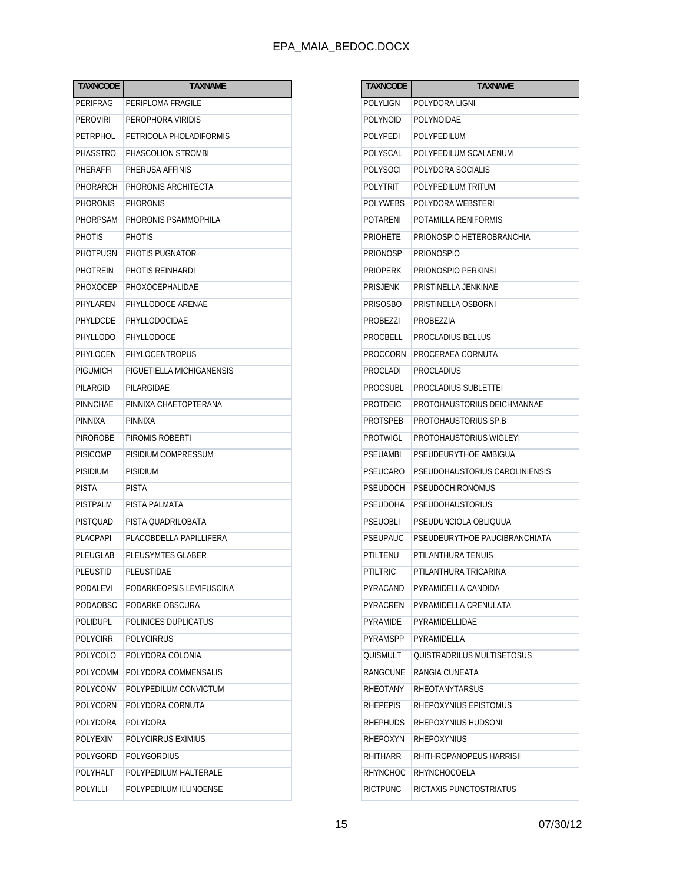| <b>TAXNCODE</b> | <b>TAXNAME</b>            |  |  |
|-----------------|---------------------------|--|--|
| PERIFRAG        | PERIPLOMA FRAGILE         |  |  |
| <b>PEROVIRI</b> | PEROPHORA VIRIDIS         |  |  |
| <b>PETRPHOL</b> | PETRICOLA PHOLADIFORMIS   |  |  |
| <b>PHASSTRO</b> | PHASCOLION STROMBI        |  |  |
| PHERAFFI        | PHERUSA AFFINIS           |  |  |
| PHORARCH        | PHORONIS ARCHITECTA       |  |  |
| PHORONIS        | PHORONIS                  |  |  |
| PHORPSAM        | PHORONIS PSAMMOPHILA      |  |  |
| <b>PHOTIS</b>   | <b>PHOTIS</b>             |  |  |
| PHOTPUGN        | PHOTIS PUGNATOR           |  |  |
| PHOTREIN        | PHOTIS REINHARDI          |  |  |
| PHOXOCEP        | PHOXOCEPHALIDAE           |  |  |
| PHYLAREN        | PHYLLODOCE ARENAE         |  |  |
| PHYLDCDE        | PHYLLODOCIDAE             |  |  |
| <b>PHYLLODO</b> | PHYLLODOCE                |  |  |
| PHYLOCEN        | PHYLOCENTROPUS            |  |  |
| <b>PIGUMICH</b> | PIGUETIELLA MICHIGANENSIS |  |  |
| PILARGID        | PILARGIDAE                |  |  |
| PINNCHAE        | PINNIXA CHAETOPTERANA     |  |  |
| PINNIXA         | PINNIXA                   |  |  |
| <b>PIROROBE</b> | PIROMIS ROBERTI           |  |  |
| <b>PISICOMP</b> | PISIDIUM COMPRESSUM       |  |  |
| <b>PISIDIUM</b> | PISIDIUM                  |  |  |
| <b>PISTA</b>    | PISTA                     |  |  |
| <b>PISTPALM</b> | PISTA PALMATA             |  |  |
| <b>PISTOUAD</b> | PISTA QUADRILOBATA        |  |  |
| PLACPAPI        | PLACOBDELLA PAPILLIFERA   |  |  |
| PLEUGLAB        | <b>PLEUSYMTES GLABER</b>  |  |  |
| <b>PLEUSTID</b> | PLEUSTIDAE                |  |  |
| PODALEVI        | PODARKEOPSIS LEVIFUSCINA  |  |  |
| PODAOBSC        | PODARKE OBSCURA           |  |  |
| <b>POLIDUPL</b> | POLINICES DUPLICATUS      |  |  |
| <b>POLYCIRR</b> | <b>POLYCIRRUS</b>         |  |  |
| <b>POLYCOLO</b> | POLYDORA COLONIA          |  |  |
| <b>POLYCOMM</b> | POLYDORA COMMENSALIS      |  |  |
| <b>POLYCONV</b> | POLYPEDILUM CONVICTUM     |  |  |
| <b>POLYCORN</b> | POLYDORA CORNUTA          |  |  |
| <b>POLYDORA</b> | POLYDORA                  |  |  |
| <b>POLYEXIM</b> | POLYCIRRUS EXIMIUS        |  |  |
| POLYGORD        | <b>POLYGORDIUS</b>        |  |  |
| <b>POLYHALT</b> | POLYPEDILUM HALTERALE     |  |  |
| POLYILLI        | POLYPEDILUM ILLINOENSE    |  |  |

| TAXNCODE        | TAXNAME                        |  |  |  |
|-----------------|--------------------------------|--|--|--|
| POLYLIGN        | POLYDORA LIGNI                 |  |  |  |
| POLYNOID        | POLYNOIDAE                     |  |  |  |
| <b>POLYPEDI</b> | POLYPEDILUM                    |  |  |  |
| POLYSCAL        | POLYPEDILUM SCALAENUM          |  |  |  |
| POLYSOCI        | POLYDORA SOCIALIS              |  |  |  |
| POLYTRIT        | POLYPEDILUM TRITUM             |  |  |  |
| POLYWEBS        | POLYDORA WEBSTERI              |  |  |  |
| POTARENI        | POTAMILLA RENIFORMIS           |  |  |  |
| <b>PRIOHETE</b> | PRIONOSPIO HETEROBRANCHIA      |  |  |  |
| PRIONOSP        | <b>PRIONOSPIO</b>              |  |  |  |
| PRIOPERK        | PRIONOSPIO PERKINSI            |  |  |  |
| PRISJENK        | PRISTINELLA JENKINAE           |  |  |  |
| <b>PRISOSBO</b> | PRISTINELLA OSBORNI            |  |  |  |
| PROBEZZI        | PROBEZZIA                      |  |  |  |
| PROCBELL        | PROCLADIUS BELLUS              |  |  |  |
| PROCCORN        | PROCERAEA CORNUTA              |  |  |  |
| PROCLADI        | PROCLADIUS                     |  |  |  |
| PROCSUBL        | <b>PROCLADIUS SUBLETTEI</b>    |  |  |  |
| PROTDEIC        | PROTOHAUSTORIUS DEICHMANNAE    |  |  |  |
| PROTSPEB        | PROTOHAUSTORIUS SP.B           |  |  |  |
| PROTWIGL        | PROTOHAUSTORIUS WIGLEYI        |  |  |  |
| PSEUAMBI        | PSEUDEURYTHOE AMBIGUA          |  |  |  |
| PSEUCARO        | PSEUDOHAUSTORIUS CAROLINIENSIS |  |  |  |
| PSEUDOCH        | PSEUDOCHIRONOMUS               |  |  |  |
| PSEUDOHA        | PSEUDOHAUSTORIUS               |  |  |  |
| <b>PSEUOBLI</b> | PSEUDUNCIOLA OBLIQUUA          |  |  |  |
| PSEUPAUC        | PSEUDEURYTHOE PAUCIBRANCHIATA  |  |  |  |
| PTILTENU        | PTILANTHURA TENUIS             |  |  |  |
| PTILTRIC        | PTILANTHURA TRICARINA          |  |  |  |
| PYRACAND        | PYRAMIDELLA CANDIDA            |  |  |  |
| PYRACREN        | PYRAMIDELLA CRENULATA          |  |  |  |
| PYRAMIDE        | PYRAMIDELLIDAE                 |  |  |  |
| <b>PYRAMSPP</b> | PYRAMIDELLA                    |  |  |  |
| <b>QUISMULT</b> | QUISTRADRILUS MULTISETOSUS     |  |  |  |
| RANGCUNE        | RANGIA CUNEATA                 |  |  |  |
| RHEOTANY        | RHEOTANYTARSUS                 |  |  |  |
| <b>RHEPEPIS</b> | RHEPOXYNIUS EPISTOMUS          |  |  |  |
| <b>RHEPHUDS</b> | RHEPOXYNIUS HUDSONI            |  |  |  |
| RHEPOXYN        | RHEPOXYNIUS                    |  |  |  |
| RHITHARR        | RHITHROPANOPEUS HARRISII       |  |  |  |
| RHYNCHOC        | RHYNCHOCOELA                   |  |  |  |
| <b>RICTPUNC</b> | RICTAXIS PUNCTOSTRIATUS        |  |  |  |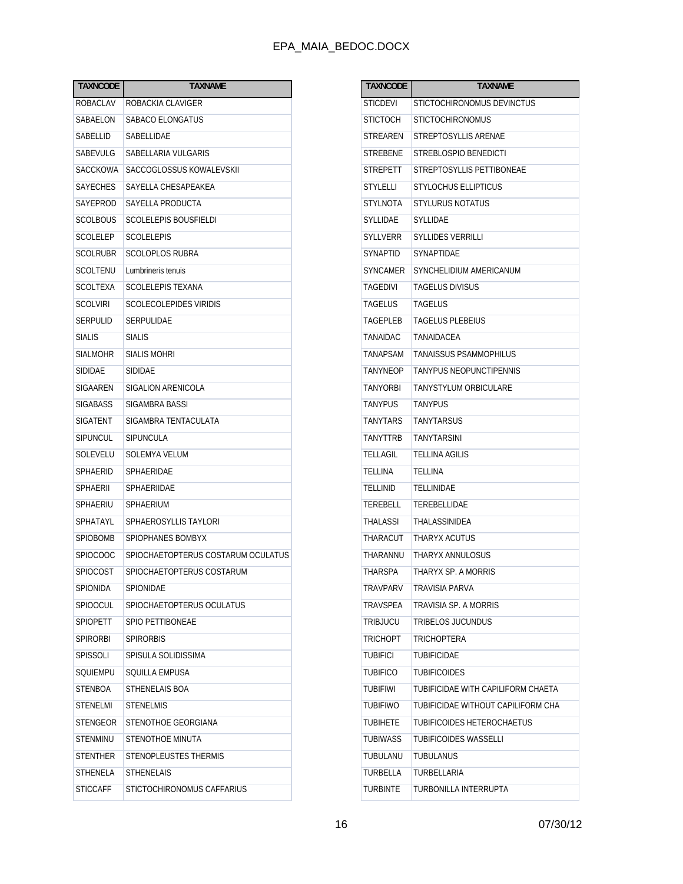| <b>TAXNCODE</b> | <b>TAXNAME</b>                     |  |  |  |
|-----------------|------------------------------------|--|--|--|
| ROBACLAV        | ROBACKIA CLAVIGER                  |  |  |  |
| SABAELON        | SABACO ELONGATUS                   |  |  |  |
| SABELLID        | SABELLIDAE                         |  |  |  |
| SABEVULG        | SABELLARIA VULGARIS                |  |  |  |
| SACCKOWA        | SACCOGLOSSUS KOWALEVSKII           |  |  |  |
| <b>SAYECHES</b> | SAYELLA CHESAPEAKEA                |  |  |  |
| SAYEPROD        | SAYELLA PRODUCTA                   |  |  |  |
| SCOLBOUS        | SCOLELEPIS BOUSFIELDI              |  |  |  |
| SCOLELEP        | SCOLELEPIS                         |  |  |  |
| SCOLRUBR        | SCOLOPLOS RUBRA                    |  |  |  |
| SCOLTENU        | Lumbrineris tenuis                 |  |  |  |
| SCOLTEXA        | <b>SCOLELEPIS TEXANA</b>           |  |  |  |
| <b>SCOLVIRI</b> | SCOLECOLEPIDES VIRIDIS             |  |  |  |
| SERPULID        | SERPULIDAE                         |  |  |  |
| <b>SIALIS</b>   | SIALIS                             |  |  |  |
| <b>SIALMOHR</b> | SIALIS MOHRI                       |  |  |  |
| SIDIDAE         | SIDIDAE                            |  |  |  |
| SIGAAREN        | SIGALION ARENICOLA                 |  |  |  |
| <b>SIGABASS</b> | SIGAMBRA BASSI                     |  |  |  |
| SIGATENT        | SIGAMBRA TENTACULATA               |  |  |  |
| SIPUNCUL        | SIPUNCULA                          |  |  |  |
| SOLEVELU        | SOLEMYA VELUM                      |  |  |  |
| SPHAERID        | SPHAERIDAE                         |  |  |  |
| SPHAERII        | SPHAERIIDAE                        |  |  |  |
| SPHAERIU        | <b>SPHAERIUM</b>                   |  |  |  |
| SPHATAYL        | SPHAEROSYLLIS TAYLORI              |  |  |  |
| <b>SPIOBOMB</b> | SPIOPHANES BOMBYX                  |  |  |  |
| SPIOCOOC        | SPIOCHAETOPTERUS COSTARUM OCULATUS |  |  |  |
| <b>SPIOCOST</b> | SPIOCHAETOPTERUS COSTARUM          |  |  |  |
| SPIONIDA        | SPIONIDAE                          |  |  |  |
| <b>SPIOOCUL</b> | SPIOCHAETOPTERUS OCULATUS          |  |  |  |
| <b>SPIOPETT</b> | SPIO PETTIBONEAE                   |  |  |  |
| SPIRORBI        | <b>SPIRORBIS</b>                   |  |  |  |
| <b>SPISSOLI</b> | SPISULA SOLIDISSIMA                |  |  |  |
| SQUIEMPU        | SQUILLA EMPUSA                     |  |  |  |
| <b>STENBOA</b>  | STHENELAIS BOA                     |  |  |  |
| <b>STENELMI</b> | <b>STENELMIS</b>                   |  |  |  |
| STENGEOR        | STENOTHOE GEORGIANA                |  |  |  |
| <b>STENMINU</b> | STENOTHOE MINUTA                   |  |  |  |
| <b>STENTHER</b> | <b>STENOPLEUSTES THERMIS</b>       |  |  |  |
| <b>STHENELA</b> | <b>STHENELAIS</b>                  |  |  |  |
| <b>STICCAFF</b> | STICTOCHIRONOMUS CAFFARIUS         |  |  |  |
|                 |                                    |  |  |  |

| <b>TAXNCODE</b> | <b>TAXNAME</b>                     |  |  |
|-----------------|------------------------------------|--|--|
| STICDEVI        | STICTOCHIRONOMUS DEVINCTUS         |  |  |
| STICTOCH        | <b>STICTOCHIRONOMUS</b>            |  |  |
| STREAREN        | STREPTOSYLLIS ARENAE               |  |  |
| STREBENE        | STREBLOSPIO BENEDICTI              |  |  |
| STREPETT        | STREPTOSYLLIS PETTIBONEAE          |  |  |
| STYLELLI        | <b>STYLOCHUS ELLIPTICUS</b>        |  |  |
| STYLNOTA        | <b>STYLURUS NOTATUS</b>            |  |  |
| SYLLIDAE        | <b>SYLLIDAE</b>                    |  |  |
| SYLLVERR        | <b>SYLLIDES VERRILLI</b>           |  |  |
| SYNAPTID        | SYNAPTIDAE                         |  |  |
| SYNCAMER        | SYNCHELIDIUM AMERICANUM            |  |  |
| <b>TAGEDIVI</b> | <b>TAGELUS DIVISUS</b>             |  |  |
| TAGELUS         | <b>TAGELUS</b>                     |  |  |
| <b>TAGEPLEB</b> | <b>TAGELUS PLEBEIUS</b>            |  |  |
| TANAIDAC        | TANAIDACEA                         |  |  |
| <b>TANAPSAM</b> | TANAISSUS PSAMMOPHILUS             |  |  |
| <b>TANYNEOP</b> | TANYPUS NEOPUNCTIPENNIS            |  |  |
| TANYORBI        | TANYSTYLUM ORBICULARE              |  |  |
| TANYPUS         | <b>TANYPUS</b>                     |  |  |
| TANYTARS        | TANYTARSUS                         |  |  |
| TANYTTRB        | TANYTARSINI                        |  |  |
| TELLAGIL        | <b>TELLINA AGILIS</b>              |  |  |
| TELLINA         | TELLINA                            |  |  |
| TELLINID        | TELLINIDAE                         |  |  |
| TEREBELL        | TEREBELLIDAE                       |  |  |
| THALASSI        | <b>THALASSINIDEA</b>               |  |  |
| THARACUT        | THARYX ACUTUS                      |  |  |
| THARANNU        | THARYX ANNULOSUS                   |  |  |
| THARSPA         | THARYX SP. A MORRIS                |  |  |
| TRAVPARV        | <b>TRAVISIA PARVA</b>              |  |  |
| TRAVSPEA        | TRAVISIA SP. A MORRIS              |  |  |
| TRIBJUCU        | TRIBELOS JUCUNDUS                  |  |  |
| <b>TRICHOPT</b> | <b>TRICHOPTERA</b>                 |  |  |
| <b>TUBIFICI</b> | <b>TUBIFICIDAE</b>                 |  |  |
| TUBIFICO        | <b>TUBIFICOIDES</b>                |  |  |
| TUBIFIWI        | TUBIFICIDAE WITH CAPILIFORM CHAETA |  |  |
| <b>TUBIFIWO</b> | TUBIFICIDAE WITHOUT CAPILIFORM CHA |  |  |
| <b>TUBIHETE</b> | TUBIFICOIDES HETEROCHAETUS         |  |  |
| TUBIWASS        | <b>TUBIFICOIDES WASSELLI</b>       |  |  |
| TUBULANU        | TUBULANUS                          |  |  |
| TURBELLA        | TURBELLARIA                        |  |  |
| TURBINTE        | TURBONILLA INTERRUPTA              |  |  |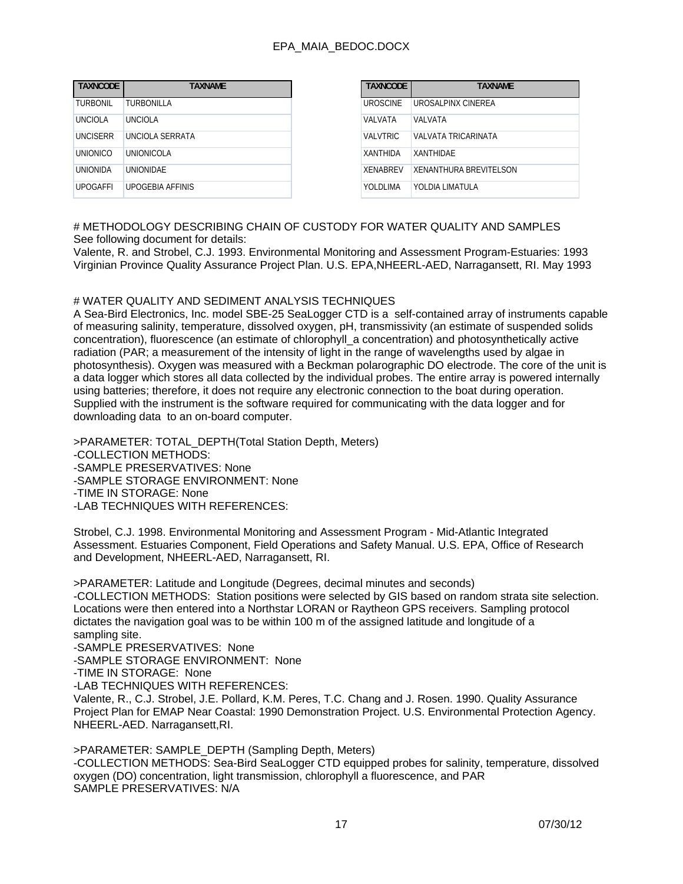| <b>TAXNCODE</b> | <b>TAXNAME</b>    |
|-----------------|-------------------|
| TURBONIL        | TURBONILLA        |
| <b>UNCIOLA</b>  | <b>UNCIOLA</b>    |
| UNCISERR        | UNCIOLA SERRATA   |
| UNIONICO        | <b>UNIONICOLA</b> |
| <b>UNIONIDA</b> | <b>UNIONIDAE</b>  |
| <b>UPOGAFFI</b> | UPOGEBIA AFFINIS  |

# METHODOLOGY DESCRIBING CHAIN OF CUSTODY FOR WATER QUALITY AND SAMPLES See following document for details:

Valente, R. and Strobel, C.J. 1993. Environmental Monitoring and Assessment Program-Estuaries: 1993 Virginian Province Quality Assurance Project Plan. U.S. EPA,NHEERL-AED, Narragansett, RI. May 1993

#### # WATER QUALITY AND SEDIMENT ANALYSIS TECHNIQUES

A Sea-Bird Electronics, Inc. model SBE-25 SeaLogger CTD is a self-contained array of instruments capable of measuring salinity, temperature, dissolved oxygen, pH, transmissivity (an estimate of suspended solids concentration), fluorescence (an estimate of chlorophyll\_a concentration) and photosynthetically active radiation (PAR; a measurement of the intensity of light in the range of wavelengths used by algae in photosynthesis). Oxygen was measured with a Beckman polarographic DO electrode. The core of the unit is a data logger which stores all data collected by the individual probes. The entire array is powered internally using batteries; therefore, it does not require any electronic connection to the boat during operation. Supplied with the instrument is the software required for communicating with the data logger and for downloading data to an on-board computer.

>PARAMETER: TOTAL\_DEPTH(Total Station Depth, Meters) -COLLECTION METHODS: -SAMPLE PRESERVATIVES: None -SAMPLE STORAGE ENVIRONMENT: None -TIME IN STORAGE: None -LAB TECHNIQUES WITH REFERENCES:

Strobel, C.J. 1998. Environmental Monitoring and Assessment Program - Mid-Atlantic Integrated Assessment. Estuaries Component, Field Operations and Safety Manual. U.S. EPA, Office of Research and Development, NHEERL-AED, Narragansett, RI.

>PARAMETER: Latitude and Longitude (Degrees, decimal minutes and seconds) -COLLECTION METHODS: Station positions were selected by GIS based on random strata site selection. Locations were then entered into a Northstar LORAN or Raytheon GPS receivers. Sampling protocol dictates the navigation goal was to be within 100 m of the assigned latitude and longitude of a sampling site.

-SAMPLE PRESERVATIVES: None

-SAMPLE STORAGE ENVIRONMENT: None

-TIME IN STORAGE: None

-LAB TECHNIQUES WITH REFERENCES:

Valente, R., C.J. Strobel, J.E. Pollard, K.M. Peres, T.C. Chang and J. Rosen. 1990. Quality Assurance Project Plan for EMAP Near Coastal: 1990 Demonstration Project. U.S. Environmental Protection Agency. NHEERL-AED. Narragansett,RI.

>PARAMETER: SAMPLE\_DEPTH (Sampling Depth, Meters) -COLLECTION METHODS: Sea-Bird SeaLogger CTD equipped probes for salinity, temperature, dissolved oxygen (DO) concentration, light transmission, chlorophyll a fluorescence, and PAR SAMPLE PRESERVATIVES: N/A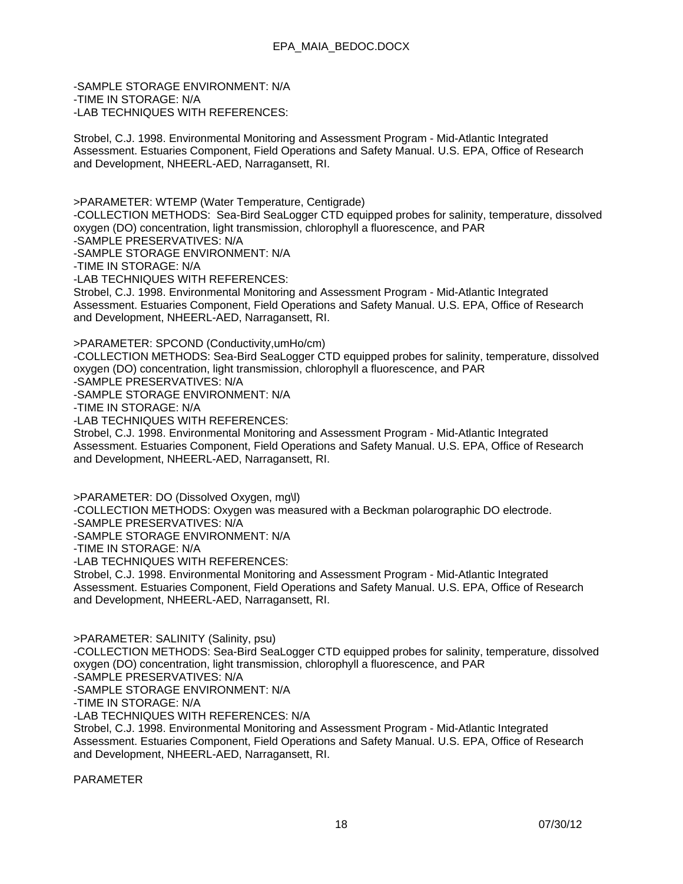-SAMPLE STORAGE ENVIRONMENT: N/A -TIME IN STORAGE: N/A -LAB TECHNIQUES WITH REFERENCES:

Strobel, C.J. 1998. Environmental Monitoring and Assessment Program - Mid-Atlantic Integrated Assessment. Estuaries Component, Field Operations and Safety Manual. U.S. EPA, Office of Research and Development, NHEERL-AED, Narragansett, RI.

>PARAMETER: WTEMP (Water Temperature, Centigrade)

-COLLECTION METHODS: Sea-Bird SeaLogger CTD equipped probes for salinity, temperature, dissolved oxygen (DO) concentration, light transmission, chlorophyll a fluorescence, and PAR -SAMPLE PRESERVATIVES: N/A

-SAMPLE STORAGE ENVIRONMENT: N/A

-TIME IN STORAGE: N/A

-LAB TECHNIQUES WITH REFERENCES:

Strobel, C.J. 1998. Environmental Monitoring and Assessment Program - Mid-Atlantic Integrated Assessment. Estuaries Component, Field Operations and Safety Manual. U.S. EPA, Office of Research and Development, NHEERL-AED, Narragansett, RI.

>PARAMETER: SPCOND (Conductivity,umHo/cm)

-COLLECTION METHODS: Sea-Bird SeaLogger CTD equipped probes for salinity, temperature, dissolved oxygen (DO) concentration, light transmission, chlorophyll a fluorescence, and PAR

-SAMPLE PRESERVATIVES: N/A

-SAMPLE STORAGE ENVIRONMENT: N/A

-TIME IN STORAGE: N/A

-LAB TECHNIQUES WITH REFERENCES:

Strobel, C.J. 1998. Environmental Monitoring and Assessment Program - Mid-Atlantic Integrated Assessment. Estuaries Component, Field Operations and Safety Manual. U.S. EPA, Office of Research and Development, NHEERL-AED, Narragansett, RI.

>PARAMETER: DO (Dissolved Oxygen, mg\l)

-COLLECTION METHODS: Oxygen was measured with a Beckman polarographic DO electrode.

-SAMPLE PRESERVATIVES: N/A

-SAMPLE STORAGE ENVIRONMENT: N/A

-TIME IN STORAGE: N/A

-LAB TECHNIQUES WITH REFERENCES:

Strobel, C.J. 1998. Environmental Monitoring and Assessment Program - Mid-Atlantic Integrated Assessment. Estuaries Component, Field Operations and Safety Manual. U.S. EPA, Office of Research and Development, NHEERL-AED, Narragansett, RI.

>PARAMETER: SALINITY (Salinity, psu)

-COLLECTION METHODS: Sea-Bird SeaLogger CTD equipped probes for salinity, temperature, dissolved oxygen (DO) concentration, light transmission, chlorophyll a fluorescence, and PAR

-SAMPLE PRESERVATIVES: N/A

-SAMPLE STORAGE ENVIRONMENT: N/A

-TIME IN STORAGE: N/A

-LAB TECHNIQUES WITH REFERENCES: N/A

Strobel, C.J. 1998. Environmental Monitoring and Assessment Program - Mid-Atlantic Integrated Assessment. Estuaries Component, Field Operations and Safety Manual. U.S. EPA, Office of Research and Development, NHEERL-AED, Narragansett, RI.

PARAMETER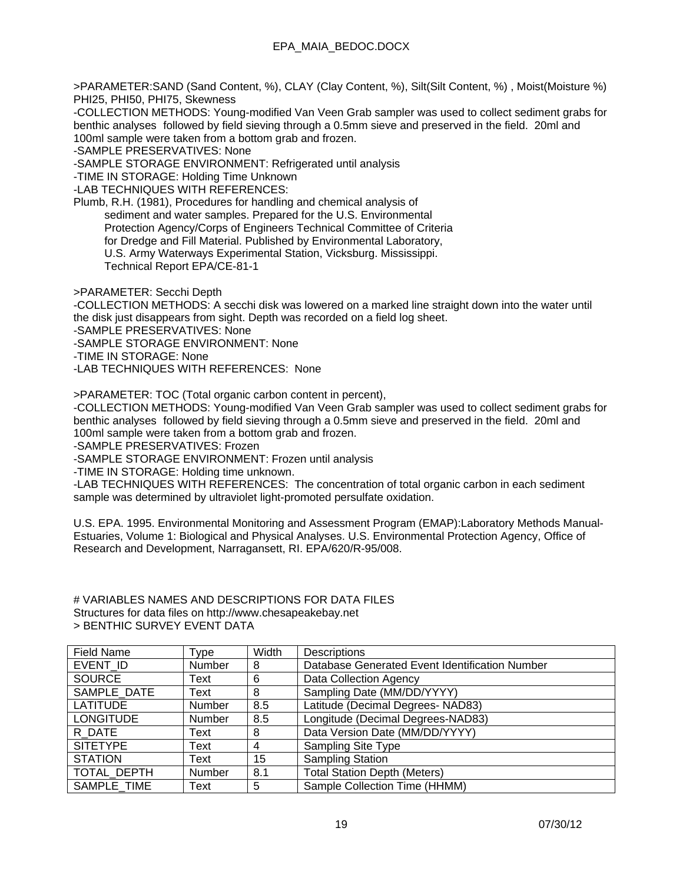>PARAMETER:SAND (Sand Content, %), CLAY (Clay Content, %), Silt(Silt Content, %) , Moist(Moisture %) PHI25, PHI50, PHI75, Skewness

-COLLECTION METHODS: Young-modified Van Veen Grab sampler was used to collect sediment grabs for benthic analyses followed by field sieving through a 0.5mm sieve and preserved in the field. 20ml and 100ml sample were taken from a bottom grab and frozen.

-SAMPLE PRESERVATIVES: None

-SAMPLE STORAGE ENVIRONMENT: Refrigerated until analysis

-TIME IN STORAGE: Holding Time Unknown

-LAB TECHNIQUES WITH REFERENCES:

Plumb, R.H. (1981), Procedures for handling and chemical analysis of sediment and water samples. Prepared for the U.S. Environmental Protection Agency/Corps of Engineers Technical Committee of Criteria for Dredge and Fill Material. Published by Environmental Laboratory, U.S. Army Waterways Experimental Station, Vicksburg. Mississippi. Technical Report EPA/CE-81-1

>PARAMETER: Secchi Depth

-COLLECTION METHODS: A secchi disk was lowered on a marked line straight down into the water until the disk just disappears from sight. Depth was recorded on a field log sheet.

-SAMPLE PRESERVATIVES: None

-SAMPLE STORAGE ENVIRONMENT: None

-TIME IN STORAGE: None

-LAB TECHNIQUES WITH REFERENCES: None

>PARAMETER: TOC (Total organic carbon content in percent),

-COLLECTION METHODS: Young-modified Van Veen Grab sampler was used to collect sediment grabs for benthic analyses followed by field sieving through a 0.5mm sieve and preserved in the field. 20ml and 100ml sample were taken from a bottom grab and frozen.

-SAMPLE PRESERVATIVES: Frozen

-SAMPLE STORAGE ENVIRONMENT: Frozen until analysis

-TIME IN STORAGE: Holding time unknown.

-LAB TECHNIQUES WITH REFERENCES: The concentration of total organic carbon in each sediment sample was determined by ultraviolet light-promoted persulfate oxidation.

U.S. EPA. 1995. Environmental Monitoring and Assessment Program (EMAP):Laboratory Methods Manual-Estuaries, Volume 1: Biological and Physical Analyses. U.S. Environmental Protection Agency, Office of Research and Development, Narragansett, RI. EPA/620/R-95/008.

#### # VARIABLES NAMES AND DESCRIPTIONS FOR DATA FILES Structures for data files on http://www.chesapeakebay.net > BENTHIC SURVEY EVENT DATA

| Field Name       | Type   | Width | Descriptions                                   |
|------------------|--------|-------|------------------------------------------------|
| EVENT ID         | Number | 8     | Database Generated Event Identification Number |
| <b>SOURCE</b>    | Text   | 6     | Data Collection Agency                         |
| SAMPLE DATE      | Text   | 8     | Sampling Date (MM/DD/YYYY)                     |
| <b>LATITUDE</b>  | Number | 8.5   | Latitude (Decimal Degrees- NAD83)              |
| <b>LONGITUDE</b> | Number | 8.5   | Longitude (Decimal Degrees-NAD83)              |
| R DATE           | Text   | 8     | Data Version Date (MM/DD/YYYY)                 |
| <b>SITETYPE</b>  | Text   | 4     | <b>Sampling Site Type</b>                      |
| <b>STATION</b>   | Text   | 15    | <b>Sampling Station</b>                        |
| TOTAL DEPTH      | Number | 8.1   | <b>Total Station Depth (Meters)</b>            |
| SAMPLE TIME      | Text   | 5     | Sample Collection Time (HHMM)                  |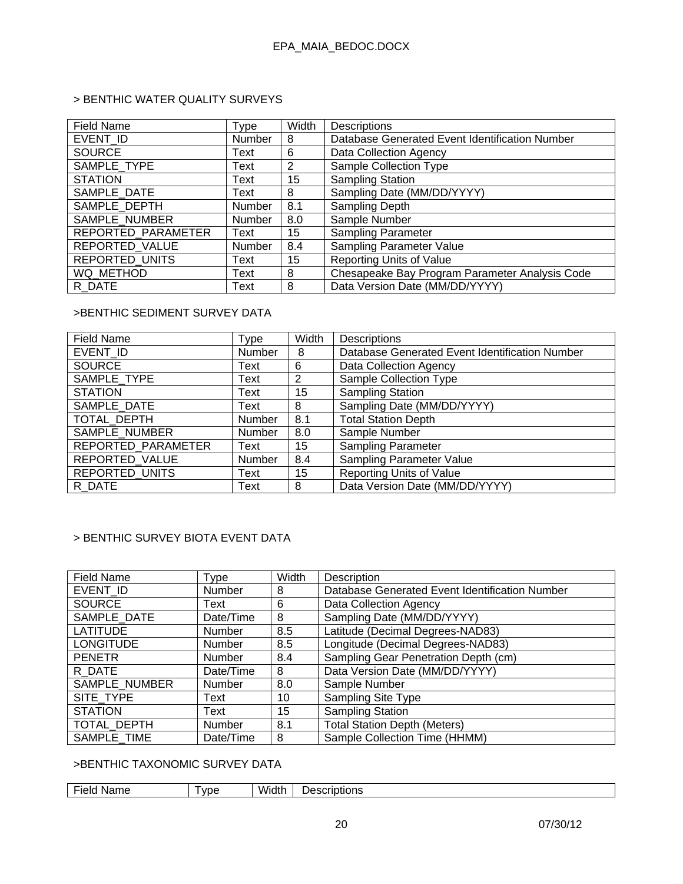# > BENTHIC WATER QUALITY SURVEYS

| <b>Field Name</b>     | Type          | Width | Descriptions                                   |
|-----------------------|---------------|-------|------------------------------------------------|
| EVENT ID              | Number        | 8     | Database Generated Event Identification Number |
| <b>SOURCE</b>         | Text          | 6     | Data Collection Agency                         |
| SAMPLE TYPE           | Text          | 2     | <b>Sample Collection Type</b>                  |
| <b>STATION</b>        | Text          | 15    | <b>Sampling Station</b>                        |
| SAMPLE DATE           | Text          | 8     | Sampling Date (MM/DD/YYYY)                     |
| SAMPLE DEPTH          | Number        | 8.1   | Sampling Depth                                 |
| SAMPLE_NUMBER         | Number        | 8.0   | Sample Number                                  |
| REPORTED PARAMETER    | Text          | 15    | <b>Sampling Parameter</b>                      |
| REPORTED_VALUE        | <b>Number</b> | 8.4   | Sampling Parameter Value                       |
| <b>REPORTED UNITS</b> | Text          | 15    | Reporting Units of Value                       |
| WQ METHOD             | Text          | 8     | Chesapeake Bay Program Parameter Analysis Code |
| R DATE                | Text          | 8     | Data Version Date (MM/DD/YYYY)                 |

# >BENTHIC SEDIMENT SURVEY DATA

| <b>Field Name</b>     | Type   | Width | Descriptions                                   |
|-----------------------|--------|-------|------------------------------------------------|
| EVENT ID              | Number | 8     | Database Generated Event Identification Number |
| <b>SOURCE</b>         | Text   | 6     | Data Collection Agency                         |
| SAMPLE TYPE           | Text   | 2     | Sample Collection Type                         |
| <b>STATION</b>        | Text   | 15    | <b>Sampling Station</b>                        |
| SAMPLE DATE           | Text   | 8     | Sampling Date (MM/DD/YYYY)                     |
| TOTAL DEPTH           | Number | 8.1   | <b>Total Station Depth</b>                     |
| SAMPLE NUMBER         | Number | 8.0   | Sample Number                                  |
| REPORTED_PARAMETER    | Text   | 15    | <b>Sampling Parameter</b>                      |
| REPORTED VALUE        | Number | 8.4   | <b>Sampling Parameter Value</b>                |
| <b>REPORTED UNITS</b> | Text   | 15    | <b>Reporting Units of Value</b>                |
| R DATE                | Text   | 8     | Data Version Date (MM/DD/YYYY)                 |

### > BENTHIC SURVEY BIOTA EVENT DATA

| Field Name       | <b>Type</b>   | Width | Description                                    |
|------------------|---------------|-------|------------------------------------------------|
| EVENT ID         | <b>Number</b> | 8     | Database Generated Event Identification Number |
| <b>SOURCE</b>    | Text          | 6     | Data Collection Agency                         |
| SAMPLE DATE      | Date/Time     | 8     | Sampling Date (MM/DD/YYYY)                     |
| <b>LATITUDE</b>  | <b>Number</b> | 8.5   | Latitude (Decimal Degrees-NAD83)               |
| <b>LONGITUDE</b> | Number        | 8.5   | Longitude (Decimal Degrees-NAD83)              |
| <b>PENETR</b>    | <b>Number</b> | 8.4   | Sampling Gear Penetration Depth (cm)           |
| R DATE           | Date/Time     | 8     | Data Version Date (MM/DD/YYYY)                 |
| SAMPLE NUMBER    | Number        | 8.0   | Sample Number                                  |
| SITE TYPE        | Text          | 10    | <b>Sampling Site Type</b>                      |
| <b>STATION</b>   | Text          | 15    | <b>Sampling Station</b>                        |
| TOTAL DEPTH      | <b>Number</b> | 8.1   | <b>Total Station Depth (Meters)</b>            |
| SAMPLE TIME      | Date/Time     | 8     | Sample Collection Time (HHMM)                  |

### >BENTHIC TAXONOMIC SURVEY DATA

| --<br>Name<br>тек. | <b>v</b> ne | Widt <sup>+</sup> | $- - - -$<br>-------<br>یں ر<br>TIDUONS |
|--------------------|-------------|-------------------|-----------------------------------------|
|                    |             |                   |                                         |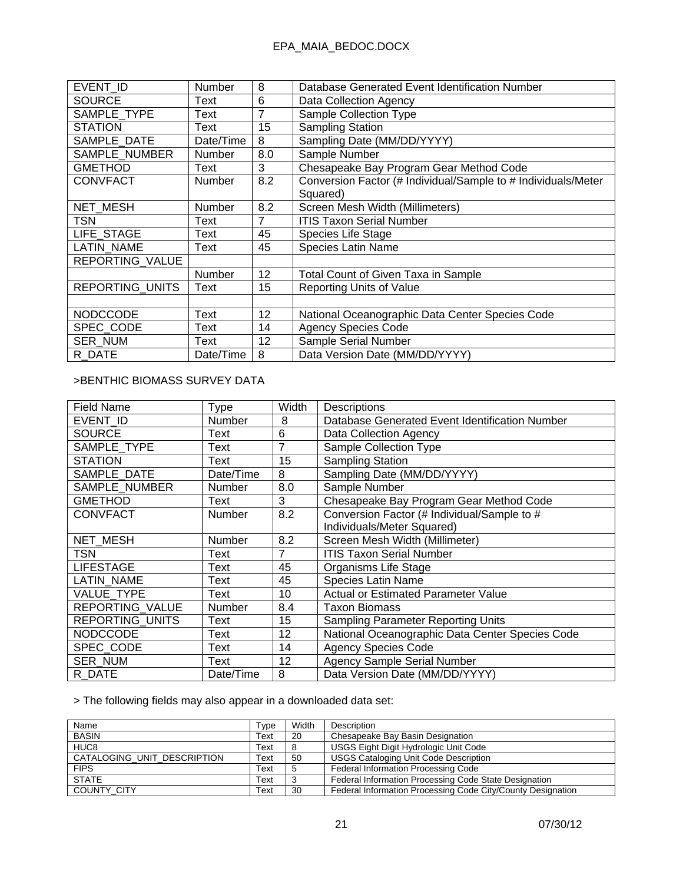| EVENT ID               | Number    | 8              | Database Generated Event Identification Number                |
|------------------------|-----------|----------------|---------------------------------------------------------------|
| <b>SOURCE</b>          | Text      | 6              | Data Collection Agency                                        |
| SAMPLE_TYPE            | Text      | 7              | <b>Sample Collection Type</b>                                 |
| <b>STATION</b>         | Text      | 15             | <b>Sampling Station</b>                                       |
| SAMPLE_DATE            | Date/Time | 8              | Sampling Date (MM/DD/YYYY)                                    |
| SAMPLE_NUMBER          | Number    | 8.0            | Sample Number                                                 |
| <b>GMETHOD</b>         | Text      | 3              | Chesapeake Bay Program Gear Method Code                       |
| <b>CONVFACT</b>        | Number    | 8.2            | Conversion Factor (# Individual/Sample to # Individuals/Meter |
|                        |           |                | Squared)                                                      |
| <b>NET MESH</b>        | Number    | 8.2            | Screen Mesh Width (Millimeters)                               |
| <b>TSN</b>             | Text      | $\overline{7}$ | <b>ITIS Taxon Serial Number</b>                               |
| LIFE STAGE             | Text      | 45             | Species Life Stage                                            |
| <b>LATIN NAME</b>      | Text      | 45             | <b>Species Latin Name</b>                                     |
| REPORTING VALUE        |           |                |                                                               |
|                        | Number    | 12             | Total Count of Given Taxa in Sample                           |
| <b>REPORTING UNITS</b> | Text      | 15             | <b>Reporting Units of Value</b>                               |
|                        |           |                |                                                               |
| <b>NODCCODE</b>        | Text      | 12             | National Oceanographic Data Center Species Code               |
| SPEC CODE              | Text      | 14             | <b>Agency Species Code</b>                                    |
| <b>SER NUM</b>         | Text      | 12             | Sample Serial Number                                          |
| R DATE                 | Date/Time | 8              | Data Version Date (MM/DD/YYYY)                                |

### >BENTHIC BIOMASS SURVEY DATA

| <b>Field Name</b>      | Type          | Width | Descriptions                                    |
|------------------------|---------------|-------|-------------------------------------------------|
| EVENT ID               | Number        | 8     | Database Generated Event Identification Number  |
| <b>SOURCE</b>          | Text          | 6     | Data Collection Agency                          |
| SAMPLE TYPE            | Text          | 7     | Sample Collection Type                          |
| <b>STATION</b>         | Text          | 15    | <b>Sampling Station</b>                         |
| SAMPLE DATE            | Date/Time     | 8     | Sampling Date (MM/DD/YYYY)                      |
| SAMPLE NUMBER          | Number        | 8.0   | Sample Number                                   |
| <b>GMETHOD</b>         | Text          | 3     | Chesapeake Bay Program Gear Method Code         |
| <b>CONVFACT</b>        | <b>Number</b> | 8.2   | Conversion Factor (# Individual/Sample to #     |
|                        |               |       | Individuals/Meter Squared)                      |
| NET_MESH               | Number        | 8.2   | Screen Mesh Width (Millimeter)                  |
| TSN                    | Text          | 7     | <b>ITIS Taxon Serial Number</b>                 |
| <b>LIFESTAGE</b>       | Text          | 45    | Organisms Life Stage                            |
| <b>LATIN NAME</b>      | Text          | 45    | <b>Species Latin Name</b>                       |
| <b>VALUE TYPE</b>      | Text          | 10    | <b>Actual or Estimated Parameter Value</b>      |
| REPORTING VALUE        | <b>Number</b> | 8.4   | <b>Taxon Biomass</b>                            |
| <b>REPORTING UNITS</b> | Text          | 15    | <b>Sampling Parameter Reporting Units</b>       |
| <b>NODCCODE</b>        | Text          | 12    | National Oceanographic Data Center Species Code |
| SPEC CODE              | Text          | 14    | <b>Agency Species Code</b>                      |
| <b>SER NUM</b>         | Text          | 12    | <b>Agency Sample Serial Number</b>              |
| R DATE                 | Date/Time     | 8     | Data Version Date (MM/DD/YYYY)                  |

> The following fields may also appear in a downloaded data set:

| Name                        | Type | Width | Description                                                 |
|-----------------------------|------|-------|-------------------------------------------------------------|
| <b>BASIN</b>                | Text | 20    | Chesapeake Bay Basin Designation                            |
| HUC <sub>8</sub>            | Text |       | USGS Eight Digit Hydrologic Unit Code                       |
| CATALOGING UNIT DESCRIPTION | Text | 50    | <b>USGS Cataloging Unit Code Description</b>                |
| <b>FIPS</b>                 | Text | -5    | Federal Information Processing Code                         |
| <b>STATE</b>                | Text |       | Federal Information Processing Code State Designation       |
| <b>COUNTY CITY</b>          | Text | 30    | Federal Information Processing Code City/County Designation |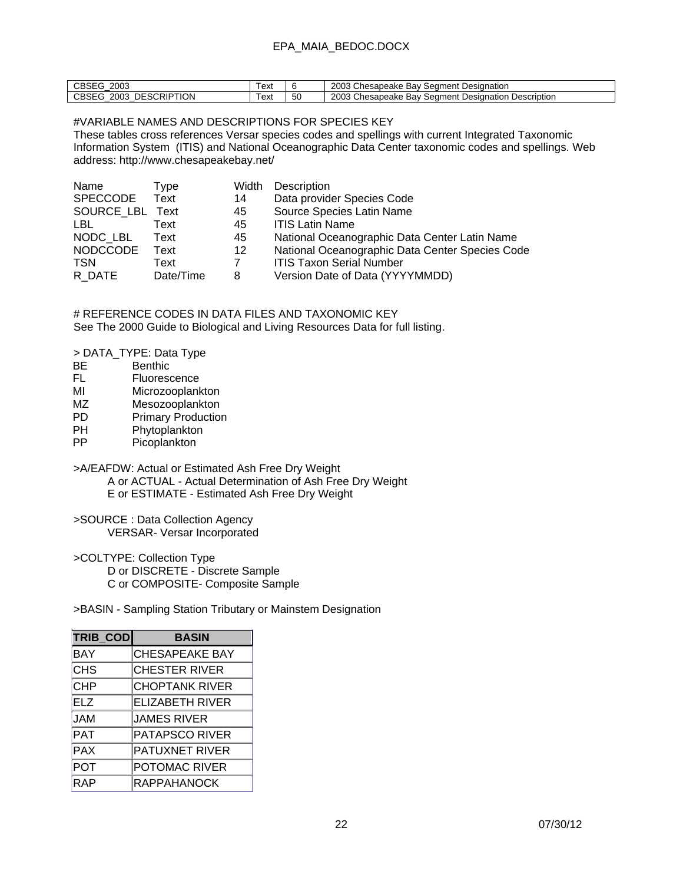| $\sim$<br>2003<br>ు⊔ఎం              | ext   |    | Chesapeake<br>2003<br>Seament<br>Designation<br>Bav                |
|-------------------------------------|-------|----|--------------------------------------------------------------------|
| <b>DESCRIPTION</b><br>2003<br>JBSE! | l ext | 50 | Chesapeake<br>2003<br>Description<br>Seament<br>Bav<br>Designation |

### #VARIABLE NAMES AND DESCRIPTIONS FOR SPECIES KEY

These tables cross references Versar species codes and spellings with current Integrated Taxonomic Information System (ITIS) and National Oceanographic Data Center taxonomic codes and spellings. Web address: http://www.chesapeakebay.net/

| Name            | Type      | Width   | Description                                     |
|-----------------|-----------|---------|-------------------------------------------------|
| <b>SPECCODE</b> | Text      | 14      | Data provider Species Code                      |
| SOURCE LBL Text |           | 45      | Source Species Latin Name                       |
| LBL.            | Text      | 45      | <b>ITIS Latin Name</b>                          |
| NODC LBL        | Text      | 45      | National Oceanographic Data Center Latin Name   |
| <b>NODCCODE</b> | Text      | $12 \,$ | National Oceanographic Data Center Species Code |
| <b>TSN</b>      | Text      | 7       | <b>ITIS Taxon Serial Number</b>                 |
| R DATE          | Date/Time | 8       | Version Date of Data (YYYYMMDD)                 |

# REFERENCE CODES IN DATA FILES AND TAXONOMIC KEY See The 2000 Guide to Biological and Living Resources Data for full listing.

> DATA\_TYPE: Data Type

- BE Benthic
- FL Fluorescence
- MI Microzooplankton
- MZ Mesozooplankton<br>PD Primary Production
- PD Primary Production<br>PH Phytoplankton
- Phytoplankton
- PP Picoplankton

>A/EAFDW: Actual or Estimated Ash Free Dry Weight A or ACTUAL - Actual Determination of Ash Free Dry Weight E or ESTIMATE - Estimated Ash Free Dry Weight

>SOURCE : Data Collection Agency

VERSAR- Versar Incorporated

>COLTYPE: Collection Type

D or DISCRETE - Discrete Sample

C or COMPOSITE- Composite Sample

>BASIN - Sampling Station Tributary or Mainstem Designation

| TRIB_COD   | <b>BASIN</b>           |
|------------|------------------------|
| <b>BAY</b> | <b>CHESAPEAKE BAY</b>  |
| <b>CHS</b> | <b>CHESTER RIVER</b>   |
| <b>CHP</b> | <b>CHOPTANK RIVER</b>  |
| <b>ELZ</b> | <b>ELIZABETH RIVER</b> |
| <b>JAM</b> | JAMES RIVER            |
| <b>PAT</b> | <b>PATAPSCO RIVER</b>  |
| <b>PAX</b> | <b>PATUXNET RIVER</b>  |
| POT        | POTOMAC RIVER          |
| <b>RAP</b> | <b>RAPPAHANOCK</b>     |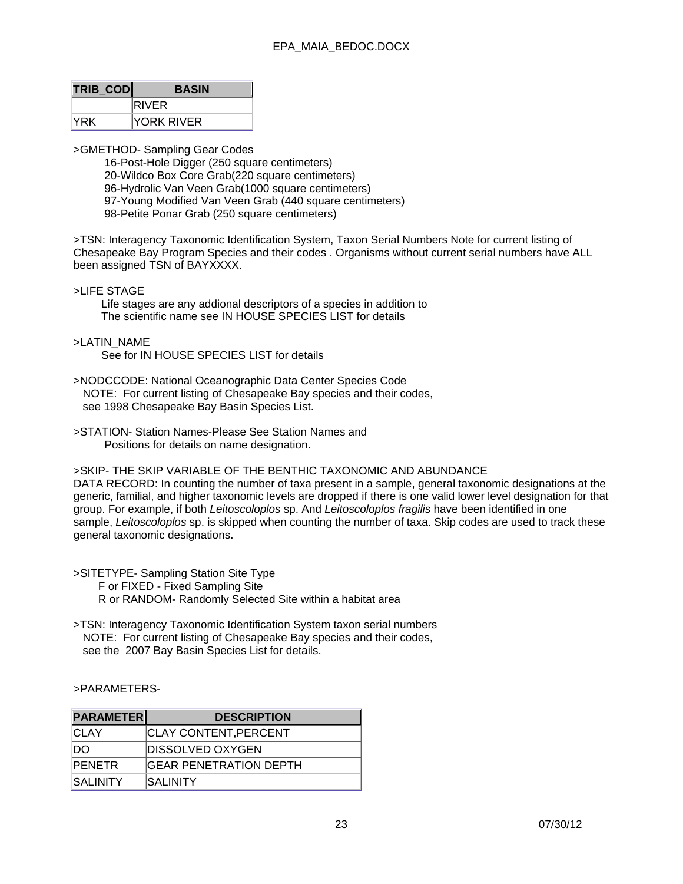| <b>TRIB COD</b> | <b>BASIN</b>      |
|-----------------|-------------------|
|                 | <b>RIVER</b>      |
| <b>IYRK</b>     | <b>YORK RIVER</b> |

>GMETHOD- Sampling Gear Codes

 16-Post-Hole Digger (250 square centimeters) 20-Wildco Box Core Grab(220 square centimeters) 96-Hydrolic Van Veen Grab(1000 square centimeters) 97-Young Modified Van Veen Grab (440 square centimeters) 98-Petite Ponar Grab (250 square centimeters)

>TSN: Interagency Taxonomic Identification System, Taxon Serial Numbers Note for current listing of Chesapeake Bay Program Species and their codes . Organisms without current serial numbers have ALL been assigned TSN of BAYXXXX.

#### >LIFE STAGE

 Life stages are any addional descriptors of a species in addition to The scientific name see IN HOUSE SPECIES LIST for details

#### >LATIN\_NAME

See for IN HOUSE SPECIES LIST for details

- >NODCCODE: National Oceanographic Data Center Species Code NOTE: For current listing of Chesapeake Bay species and their codes, see 1998 Chesapeake Bay Basin Species List.
- >STATION- Station Names-Please See Station Names and Positions for details on name designation.

>SKIP- THE SKIP VARIABLE OF THE BENTHIC TAXONOMIC AND ABUNDANCE

DATA RECORD: In counting the number of taxa present in a sample, general taxonomic designations at the generic, familial, and higher taxonomic levels are dropped if there is one valid lower level designation for that group. For example, if both *Leitoscoloplos* sp. And *Leitoscoloplos fragilis* have been identified in one sample, *Leitoscoloplos* sp. is skipped when counting the number of taxa. Skip codes are used to track these general taxonomic designations.

>SITETYPE- Sampling Station Site Type F or FIXED - Fixed Sampling Site R or RANDOM- Randomly Selected Site within a habitat area

>TSN: Interagency Taxonomic Identification System taxon serial numbers NOTE: For current listing of Chesapeake Bay species and their codes, see the 2007 Bay Basin Species List for details.

#### >PARAMETERS-

| <b>PARAMETER</b> | <b>DESCRIPTION</b>            |
|------------------|-------------------------------|
| <b>CLAY</b>      | <b>CLAY CONTENT, PERCENT</b>  |
| <b>DO</b>        | <b>DISSOLVED OXYGEN</b>       |
| <b>PENETR</b>    | <b>GEAR PENETRATION DEPTH</b> |
| <b>SALINITY</b>  | <b>ISALINITY</b>              |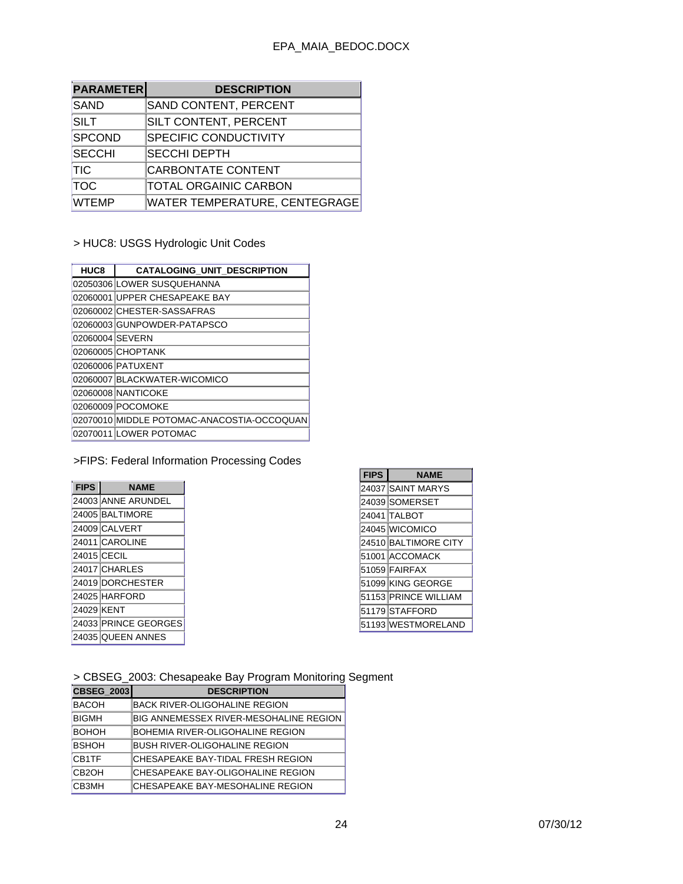| <b>PARAMETER</b> | <b>DESCRIPTION</b>                   |
|------------------|--------------------------------------|
| SAND             | SAND CONTENT, PERCENT                |
| SILT             | SILT CONTENT, PERCENT                |
| <b>SPCOND</b>    | <b>SPECIFIC CONDUCTIVITY</b>         |
| <b>SECCHI</b>    | <b>SECCHI DEPTH</b>                  |
| <b>TIC</b>       | CARBONTATE CONTENT                   |
| TOC              | <b>TOTAL ORGAINIC CARBON</b>         |
| <b>WTEMP</b>     | <b>WATER TEMPERATURE, CENTEGRAGE</b> |

> HUC8: USGS Hydrologic Unit Codes

| HUC8            | CATALOGING_UNIT_DESCRIPTION                |
|-----------------|--------------------------------------------|
|                 | 02050306 LOWER SUSQUEHANNA                 |
|                 | 02060001 UPPER CHESAPEAKE BAY              |
|                 | 02060002 CHESTER-SASSAFRAS                 |
|                 | 02060003 GUNPOWDER-PATAPSCO                |
| 02060004 SEVERN |                                            |
|                 | 02060005 CHOPTANK                          |
|                 | 02060006 PATUXENT                          |
|                 | 02060007 BLACKWATER-WICOMICO               |
|                 | 02060008 NANTICOKE                         |
|                 | 02060009 POCOMOKE                          |
|                 | 02070010 MIDDLE POTOMAC-ANACOSTIA-OCCOQUAN |
|                 | 02070011 LOWER POTOMAC                     |

# >FIPS: Federal Information Processing Codes

| <b>FIPS</b> | <b>NAME</b>          |  |
|-------------|----------------------|--|
|             | 24003 ANNE ARUNDEL   |  |
|             | 24005 BALTIMORE      |  |
|             | 24009 CALVERT        |  |
|             | 24011 CAROLINE       |  |
|             | 24015 CECIL          |  |
|             | 24017 CHARLES        |  |
|             | 24019 DORCHESTER     |  |
|             | 24025 HARFORD        |  |
| 24029 KENT  |                      |  |
|             | 24033 PRINCE GEORGES |  |
|             | 24035 QUEEN ANNES    |  |

| <b>FIPS</b> | <b>NAME</b>          |
|-------------|----------------------|
|             | 24037 SAINT MARYS    |
|             | 24039 SOMERSET       |
|             | 24041 TALBOT         |
|             | 24045 WICOMICO       |
|             | 24510 BALTIMORE CITY |
|             | 51001 ACCOMACK       |
|             | 51059 FAIRFAX        |
|             | 51099 KING GEORGE    |
|             | 51153 PRINCE WILLIAM |
|             | 51179 STAFFORD       |
|             | 51193 WESTMORELAND   |

> CBSEG\_2003: Chesapeake Bay Program Monitoring Segment

| <b>CBSEG_2003</b>  | <b>DESCRIPTION</b>                      |
|--------------------|-----------------------------------------|
| <b>BACOH</b>       | <b>BACK RIVER-OLIGOHALINE REGION</b>    |
| <b>BIGMH</b>       | BIG ANNEMESSEX RIVER-MESOHALINE REGION  |
| <b>BOHOH</b>       | BOHEMIA RIVER-OLIGOHALINE REGION        |
| <b>BSHOH</b>       | <b>BUSH RIVER-OLIGOHALINE REGION</b>    |
| CB <sub>1</sub> TF | ICHESAPEAKE BAY-TIDAL FRESH REGION      |
| CB <sub>2</sub> OH | ICHESAPEAKE BAY-OLIGOHALINE REGION      |
| CB3MH              | <b>CHESAPEAKE BAY-MESOHALINE REGION</b> |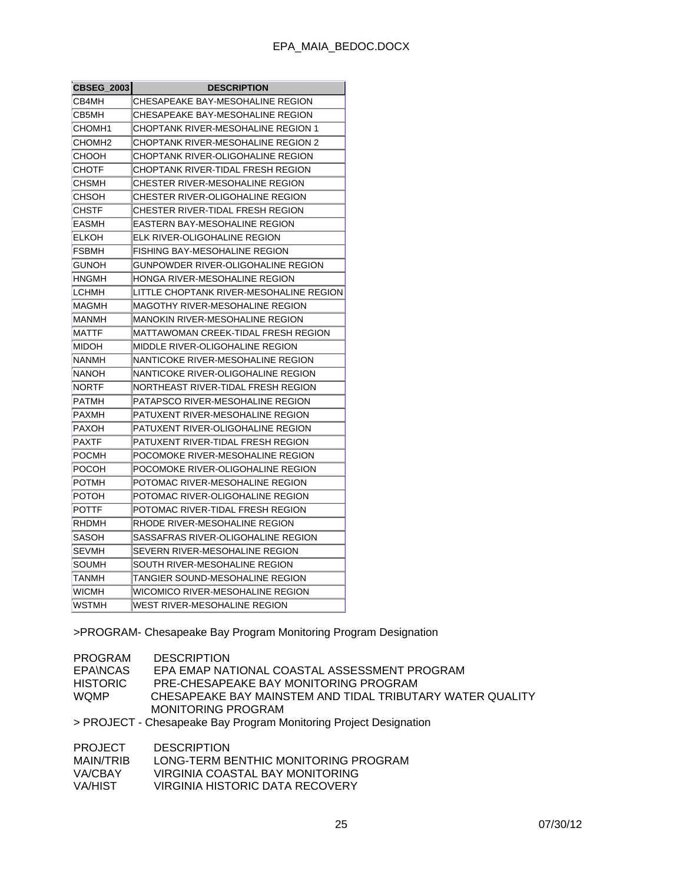| <b>CBSEG 2003</b> | <b>DESCRIPTION</b>                        |  |
|-------------------|-------------------------------------------|--|
| CB4MH             | CHESAPEAKE BAY-MESOHALINE REGION          |  |
| CB5MH             | CHESAPEAKE BAY-MESOHALINE REGION          |  |
| СНОМН1            | CHOPTANK RIVER-MESOHALINE REGION 1        |  |
| СНОМН2            | <b>CHOPTANK RIVER-MESOHALINE REGION 2</b> |  |
| сноон             | CHOPTANK RIVER-OLIGOHALINE REGION         |  |
| СНОТЕ             | CHOPTANK RIVER-TIDAL FRESH REGION         |  |
| CHSMH             | CHESTER RIVER-MESOHALINE REGION           |  |
| CHSOH             | CHESTER RIVER-OLIGOHALINE REGION          |  |
| CHSTF             | CHESTER RIVER-TIDAL FRESH REGION          |  |
| EASMH             | EASTERN BAY-MESOHALINE REGION             |  |
| ELKOH             | ELK RIVER-OLIGOHALINE REGION              |  |
| FSBMH             | FISHING BAY-MESOHALINE REGION             |  |
| GUNOH             | GUNPOWDER RIVER-OLIGOHALINE REGION        |  |
| HNGMH             | HONGA RIVER-MESOHALINE REGION             |  |
| LCHMH             | LITTLE CHOPTANK RIVER-MESOHALINE REGION   |  |
| MAGMH             | MAGOTHY RIVER-MESOHALINE REGION           |  |
| MANMH             | MANOKIN RIVER-MESOHALINE REGION           |  |
| <b>MATTF</b>      | MATTAWOMAN CREEK-TIDAL FRESH REGION       |  |
| MIDOH             | MIDDLE RIVER-OLIGOHALINE REGION           |  |
| NANMH             | NANTICOKE RIVER-MESOHALINE REGION         |  |
| NANOH             | NANTICOKE RIVER-OLIGOHALINE REGION        |  |
| NORTF             | NORTHEAST RIVER-TIDAL FRESH REGION        |  |
| PATMH             | PATAPSCO RIVER-MESOHALINE REGION          |  |
| PAXMH             | PATUXENT RIVER-MESOHALINE REGION          |  |
| <b>PAXOH</b>      | PATUXENT RIVER-OLIGOHALINE REGION         |  |
| <b>PAXTF</b>      | PATUXENT RIVER-TIDAL FRESH REGION         |  |
| POCMH             | POCOMOKE RIVER-MESOHALINE REGION          |  |
| POCOH             | POCOMOKE RIVER-OLIGOHALINE REGION         |  |
| <b>POTMH</b>      | POTOMAC RIVER-MESOHALINE REGION           |  |
| POTOH             | POTOMAC RIVER-OLIGOHALINE REGION          |  |
| <b>POTTF</b>      | POTOMAC RIVER-TIDAL FRESH REGION          |  |
| <b>RHDMH</b>      | RHODE RIVER-MESOHALINE REGION             |  |
| SASOH             | SASSAFRAS RIVER-OLIGOHALINE REGION        |  |
| SEVMH             | SEVERN RIVER-MESOHALINE REGION            |  |
| SOUMH             | SOUTH RIVER-MESOHALINE REGION             |  |
| TANMH             | TANGIER SOUND-MESOHALINE REGION           |  |
| WICMH             | WICOMICO RIVER-MESOHALINE REGION          |  |
| WSTMH             | WEST RIVER-MESOHALINE REGION              |  |

>PROGRAM- Chesapeake Bay Program Monitoring Program Designation

| PROGRAM         | <b>DESCRIPTION</b>                                                |
|-----------------|-------------------------------------------------------------------|
| <b>EPANCAS</b>  | EPA EMAP NATIONAL COASTAL ASSESSMENT PROGRAM                      |
| <b>HISTORIC</b> | PRE-CHESAPEAKE BAY MONITORING PROGRAM                             |
| <b>WOMP</b>     | CHESAPEAKE BAY MAINSTEM AND TIDAL TRIBUTARY WATER QUALITY         |
|                 | MONITORING PROGRAM                                                |
|                 | > PROJECT - Chesapeake Bay Program Monitoring Project Designation |
| PROJECT         | <b>DESCRIPTION</b>                                                |

| PROJECT   | <b>DESCRIPTION</b>                   |
|-----------|--------------------------------------|
| MAIN/TRIB | LONG-TERM BENTHIC MONITORING PROGRAM |
| VA/CBAY   | VIRGINIA COASTAL BAY MONITORING      |
| VA/HIST   | VIRGINIA HISTORIC DATA RECOVERY      |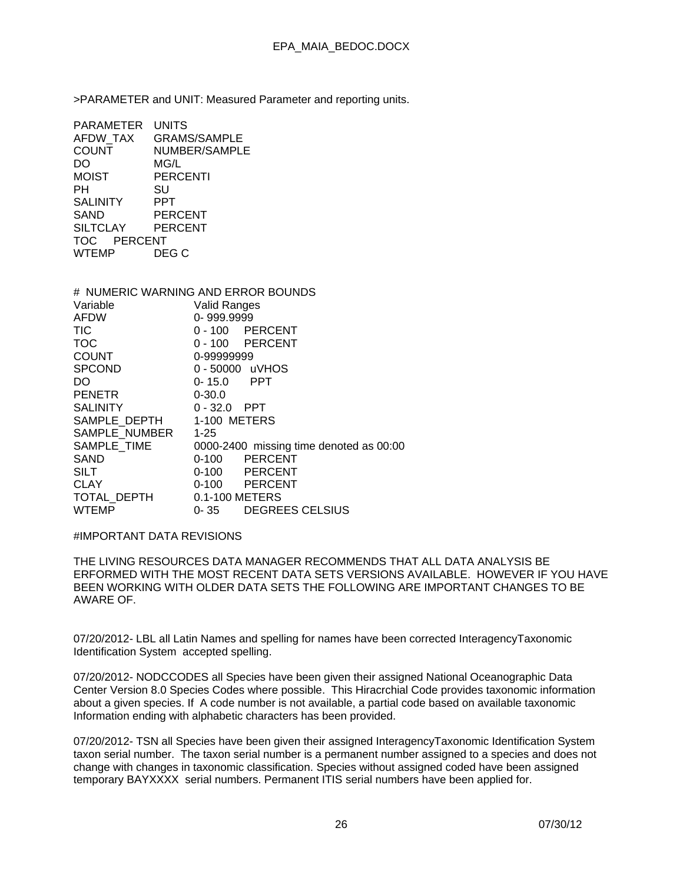>PARAMETER and UNIT: Measured Parameter and reporting units.

| PARAMETER       | <b>UNITS</b>        |
|-----------------|---------------------|
| <b>AFDW TAX</b> | <b>GRAMS/SAMPLE</b> |
| <b>COUNT</b>    | NUMBER/SAMPLE       |
| DO              | MG/L                |
| <b>MOIST</b>    | PERCENTI            |
| PН              | SU                  |
| <b>SALINITY</b> | PPT                 |
| SAND            | <b>PERCENT</b>      |
| <b>SILTCLAY</b> | PERCENT             |
| TOC PERCENT     |                     |
| WTEMP           | DEG C               |

# NUMERIC WARNING AND ERROR BOUNDS Variable Valid Ranges<br>AFDW 0-999.9999 0- 999.9999 TIC 0 - 100 PERCENT TOC 0 - 100 PERCENT COUNT 0-99999999 SPCOND 0-50000 uVHOS<br>DO 0-15.0 PPT DO 0-15.0 PENETR 0-30.0 SALINITY 0-32.0 PPT SAMPLE DEPTH 1-100 METERS SAMPLE\_NUMBER 1-25 SAMPLE\_TIME 0000-2400 missing time denoted as 00:00 SAND 0-100 PERCENT SILT 0-100 PERCENT CLAY 0-100 PERCENT TOTAL DEPTH 0.1-100 METERS WTEMP 0-35 DEGREES CELSIUS

#### #IMPORTANT DATA REVISIONS

THE LIVING RESOURCES DATA MANAGER RECOMMENDS THAT ALL DATA ANALYSIS BE ERFORMED WITH THE MOST RECENT DATA SETS VERSIONS AVAILABLE. HOWEVER IF YOU HAVE BEEN WORKING WITH OLDER DATA SETS THE FOLLOWING ARE IMPORTANT CHANGES TO BE AWARE OF.

07/20/2012- LBL all Latin Names and spelling for names have been corrected InteragencyTaxonomic Identification System accepted spelling.

07/20/2012- NODCCODES all Species have been given their assigned National Oceanographic Data Center Version 8.0 Species Codes where possible. This Hiracrchial Code provides taxonomic information about a given species. If A code number is not available, a partial code based on available taxonomic Information ending with alphabetic characters has been provided.

07/20/2012- TSN all Species have been given their assigned InteragencyTaxonomic Identification System taxon serial number. The taxon serial number is a permanent number assigned to a species and does not change with changes in taxonomic classification. Species without assigned coded have been assigned temporary BAYXXXX serial numbers. Permanent ITIS serial numbers have been applied for.